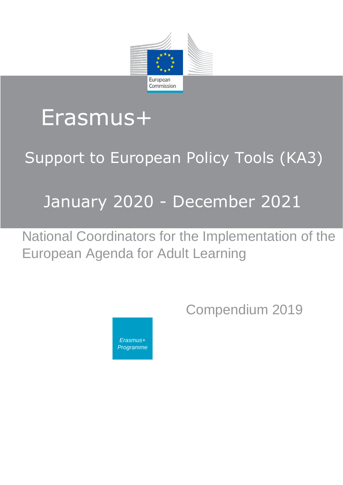

# Erasmus+

# Support to European Policy Tools (KA3)

# January 2020 - December 2021

National Coordinators for the Implementation of the European Agenda for Adult Learning

<span id="page-0-0"></span>

Compendium 2019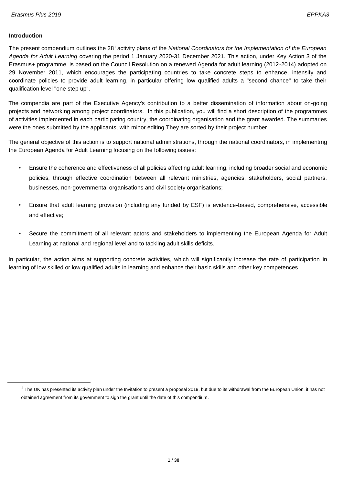#### **Introduction**

 $\overline{a}$ 

The present compendium outlines the 28<sup>1</sup> activity plans of the *National Coordinators for the Implementation of the European Agenda for Adult Learning* covering the period 1 January 2020-31 December 2021. This action, under Key Action 3 of the Erasmus+ programme, is based on the Council Resolution on a renewed Agenda for adult learning (2012-2014) adopted on 29 November 2011, which encourages the participating countries to take concrete steps to enhance, intensify and coordinate policies to provide adult learning, in particular offering low qualified adults a "second chance" to take their qualification level "one step up".

The compendia are part of the Executive Agency's contribution to a better dissemination of information about on-going projects and networking among project coordinators. In this publication, you will find a short description of the programmes of activities implemented in each participating country, the coordinating organisation and the grant awarded. The summaries were the ones submitted by the applicants, with minor editing.They are sorted by their project number.

The general objective of this action is to support national administrations, through the national coordinators, in implementing the European Agenda for Adult Learning focusing on the following issues:

- Ensure the coherence and effectiveness of all policies affecting adult learning, including broader social and economic policies, through effective coordination between all relevant ministries, agencies, stakeholders, social partners, businesses, non-governmental organisations and civil society organisations;
- Ensure that adult learning provision (including any funded by ESF) is evidence-based, comprehensive, accessible and effective;
- Secure the commitment of all relevant actors and stakeholders to implementing the European Agenda for Adult Learning at national and regional level and to tackling adult skills deficits.

In particular, the action aims at supporting concrete activities, which will significantly increase the rate of participation in learning of low skilled or low qualified adults in learning and enhance their basic skills and other key competences.

 $1$  The UK has presented its activity plan under the Invitation to present a proposal 2019, but due to its withdrawal from the European Union, it has not obtained agreement from its government to sign the grant until the date of this compendium.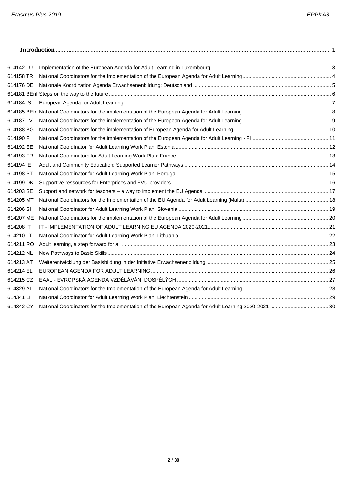| 614142 LU |  |
|-----------|--|
| 614158 TR |  |
| 614176 DE |  |
|           |  |
| 614184 IS |  |
|           |  |
| 614187 LV |  |
| 614188 BG |  |
| 614190 FI |  |
| 614192 EE |  |
| 614193 FR |  |
| 614194 IE |  |
| 614198 PT |  |
| 614199 DK |  |
| 614203 SE |  |
| 614205 MT |  |
| 614206 SI |  |
| 614207 ME |  |
| 614208 IT |  |
| 614210 LT |  |
| 614211 RO |  |
| 614212 NL |  |
| 614213 AT |  |
| 614214 EL |  |
| 614215 CZ |  |
| 614329 AL |  |
| 614341 LI |  |
| 614342 CY |  |
|           |  |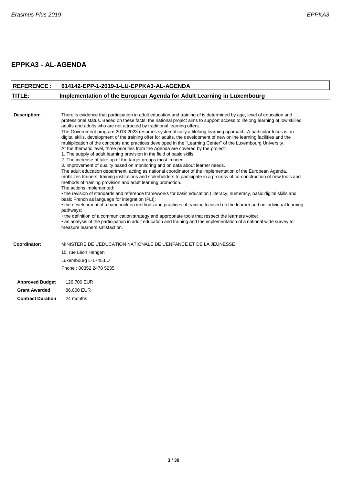## **EPPKA3 - AL-AGENDA**

<span id="page-3-0"></span>

| <b>REFERENCE:</b>        | 614142-EPP-1-2019-1-LU-EPPKA3-AL-AGENDA                                                                                                                                                                                                                                                                                                                                                                                                                                                                                                                                                                                                                                                                                                                                                                                                                                                                                                                                                                                                                                                                                                                                                                                                                                                                                                                                                                                                                                                                                                                                                                                                                                                                                                                                                                                                                                                                                                        |
|--------------------------|------------------------------------------------------------------------------------------------------------------------------------------------------------------------------------------------------------------------------------------------------------------------------------------------------------------------------------------------------------------------------------------------------------------------------------------------------------------------------------------------------------------------------------------------------------------------------------------------------------------------------------------------------------------------------------------------------------------------------------------------------------------------------------------------------------------------------------------------------------------------------------------------------------------------------------------------------------------------------------------------------------------------------------------------------------------------------------------------------------------------------------------------------------------------------------------------------------------------------------------------------------------------------------------------------------------------------------------------------------------------------------------------------------------------------------------------------------------------------------------------------------------------------------------------------------------------------------------------------------------------------------------------------------------------------------------------------------------------------------------------------------------------------------------------------------------------------------------------------------------------------------------------------------------------------------------------|
| TITLE:                   | Implementation of the European Agenda for Adult Learning in Luxembourg                                                                                                                                                                                                                                                                                                                                                                                                                                                                                                                                                                                                                                                                                                                                                                                                                                                                                                                                                                                                                                                                                                                                                                                                                                                                                                                                                                                                                                                                                                                                                                                                                                                                                                                                                                                                                                                                         |
|                          |                                                                                                                                                                                                                                                                                                                                                                                                                                                                                                                                                                                                                                                                                                                                                                                                                                                                                                                                                                                                                                                                                                                                                                                                                                                                                                                                                                                                                                                                                                                                                                                                                                                                                                                                                                                                                                                                                                                                                |
| <b>Description:</b>      | There is evidence that participation in adult education and training of is determined by age, level of education and<br>professional status. Based on these facts, the national project aims to support access to lifelong learning of low skilled<br>adults and adults who are not attracted by traditional learning offers.<br>The Government program 2018-2023 resumes systematically a lifelong learning approach. A particular focus is on<br>digital skills, development of the training offer for adults, the development of new online learning facilities and the<br>multiplication of the concepts and practices developed in the "Learning Center" of the Luxembourg University.<br>At the thematic level, three priorities from the Agenda are covered by the project:<br>1. The supply of adult learning provision in the field of basic skills<br>2. The increase of take up of the target groups most in need<br>3. Improvement of quality based on monitoring and on data about learner needs.<br>The adult education department, acting as national coordinator of the implementation of the European Agenda,<br>mobilizes trainers, training institutions and stakeholders to participate in a process of co-construction of new tools and<br>methods of training provision and adult learning promotion.<br>The actions implemented:<br>• the revision of standards and reference frameworks for basic education (literacy, numeracy, basic digital skills and<br>basic French as language for integration (FLI);<br>• the development of a handbook on methods and practices of training focused on the learner and on individual learning<br>pathways;<br>• the definition of a communication strategy and appropriate tools that respect the learners voice;<br>• an analysis of the participation in adult education and training and the implementation of a national wide survey to<br>measure learners satisfaction. |
| Coordinator:             | MINISTERE DE L'EDUCATION NATIONALE DE L'ENFANCE ET DE LA JEUNESSE                                                                                                                                                                                                                                                                                                                                                                                                                                                                                                                                                                                                                                                                                                                                                                                                                                                                                                                                                                                                                                                                                                                                                                                                                                                                                                                                                                                                                                                                                                                                                                                                                                                                                                                                                                                                                                                                              |
|                          | 15, rue Léon Hengen                                                                                                                                                                                                                                                                                                                                                                                                                                                                                                                                                                                                                                                                                                                                                                                                                                                                                                                                                                                                                                                                                                                                                                                                                                                                                                                                                                                                                                                                                                                                                                                                                                                                                                                                                                                                                                                                                                                            |
|                          | Luxembourg L-1745,LU                                                                                                                                                                                                                                                                                                                                                                                                                                                                                                                                                                                                                                                                                                                                                                                                                                                                                                                                                                                                                                                                                                                                                                                                                                                                                                                                                                                                                                                                                                                                                                                                                                                                                                                                                                                                                                                                                                                           |
|                          | Phone: 00352 2478 5235                                                                                                                                                                                                                                                                                                                                                                                                                                                                                                                                                                                                                                                                                                                                                                                                                                                                                                                                                                                                                                                                                                                                                                                                                                                                                                                                                                                                                                                                                                                                                                                                                                                                                                                                                                                                                                                                                                                         |
| <b>Approved Budget</b>   | 126.700 EUR                                                                                                                                                                                                                                                                                                                                                                                                                                                                                                                                                                                                                                                                                                                                                                                                                                                                                                                                                                                                                                                                                                                                                                                                                                                                                                                                                                                                                                                                                                                                                                                                                                                                                                                                                                                                                                                                                                                                    |
| <b>Grant Awarded</b>     | 86,000 EUR                                                                                                                                                                                                                                                                                                                                                                                                                                                                                                                                                                                                                                                                                                                                                                                                                                                                                                                                                                                                                                                                                                                                                                                                                                                                                                                                                                                                                                                                                                                                                                                                                                                                                                                                                                                                                                                                                                                                     |
| <b>Contract Duration</b> | 24 months                                                                                                                                                                                                                                                                                                                                                                                                                                                                                                                                                                                                                                                                                                                                                                                                                                                                                                                                                                                                                                                                                                                                                                                                                                                                                                                                                                                                                                                                                                                                                                                                                                                                                                                                                                                                                                                                                                                                      |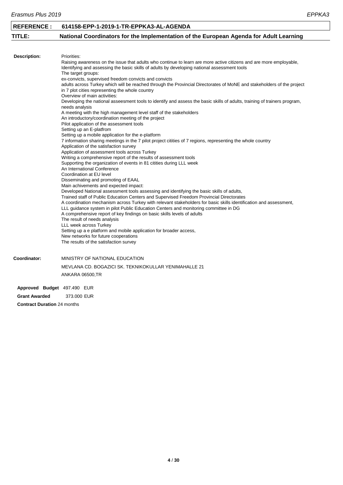<span id="page-4-0"></span>

| <b>REFERENCE:</b>           | 614158-EPP-1-2019-1-TR-EPPKA3-AL-AGENDA                                                                                                                                                                                                                                                                                                                                                                                                                                                                                                                                                                                                                                                                                                                                                                                                                                                                                                                                                                                                                                                                                                                                                                                                                                                                                                                                                                                                                                                                                                                                                                                                                                                                                                                                                                                                                                                                                                                                                                                                                                                             |
|-----------------------------|-----------------------------------------------------------------------------------------------------------------------------------------------------------------------------------------------------------------------------------------------------------------------------------------------------------------------------------------------------------------------------------------------------------------------------------------------------------------------------------------------------------------------------------------------------------------------------------------------------------------------------------------------------------------------------------------------------------------------------------------------------------------------------------------------------------------------------------------------------------------------------------------------------------------------------------------------------------------------------------------------------------------------------------------------------------------------------------------------------------------------------------------------------------------------------------------------------------------------------------------------------------------------------------------------------------------------------------------------------------------------------------------------------------------------------------------------------------------------------------------------------------------------------------------------------------------------------------------------------------------------------------------------------------------------------------------------------------------------------------------------------------------------------------------------------------------------------------------------------------------------------------------------------------------------------------------------------------------------------------------------------------------------------------------------------------------------------------------------------|
| TITLE:                      | National Coordinators for the Implementation of the European Agenda for Adult Learning                                                                                                                                                                                                                                                                                                                                                                                                                                                                                                                                                                                                                                                                                                                                                                                                                                                                                                                                                                                                                                                                                                                                                                                                                                                                                                                                                                                                                                                                                                                                                                                                                                                                                                                                                                                                                                                                                                                                                                                                              |
|                             |                                                                                                                                                                                                                                                                                                                                                                                                                                                                                                                                                                                                                                                                                                                                                                                                                                                                                                                                                                                                                                                                                                                                                                                                                                                                                                                                                                                                                                                                                                                                                                                                                                                                                                                                                                                                                                                                                                                                                                                                                                                                                                     |
| <b>Description:</b>         | Priorities:<br>Raising awareness on the issue that adults who continue to learn are more active citizens and are more employable,<br>Identifying and assessing the basic skills of adults by developing national assessment tools<br>The target groups:<br>ex-convicts, supervised freedom convicts and convicts<br>adults across Turkey which will be reached through the Provincial Directorates of MoNE and stakeholders of the project<br>in 7 plot cities representing the whole country<br>Overview of main activities:<br>Developing the national asseesment tools to identify and assess the basic skills of adults, training of trainers program,<br>needs analysis<br>A meeting with the high management level staff of the stakeholders<br>An introductory/coordination meeting of the project<br>Pilot application of the assessment tools<br>Setting up an E-platfrom<br>Setting up a mobile application for the e-platform<br>7 information sharing meetings in the 7 pilot project citities of 7 regions, representing the whole country<br>Application of the satisfaction survey<br>Application of assessment tools across Turkey<br>Writing a comprehensive report of the results of assessment tools<br>Supporting the organization of events in 81 citities during LLL week<br>An International Conference<br>Coordination at EU level<br>Disseminating and promoting of EAAL<br>Main achivements and expected impact:<br>Developed National assessment tools assessing and identifying the basic skills of adults,<br>Trained staff of Public Education Centers and Supervised Freedom Provincial Directorates<br>A coordination mechanism across Turkey with relevant stakeholders for basic skills identification and assessment,<br>LLL guidance system in pilot Public Education Centers and monitoring committee in DG<br>A comprehensive report of key findings on basic skills levels of adults<br>The result of needs analysis<br>LLL week across Turkey<br>Setting up a e platform and mobile application for broader access,<br>New networks for future cooperations |
|                             | The results of the satisfaction survey                                                                                                                                                                                                                                                                                                                                                                                                                                                                                                                                                                                                                                                                                                                                                                                                                                                                                                                                                                                                                                                                                                                                                                                                                                                                                                                                                                                                                                                                                                                                                                                                                                                                                                                                                                                                                                                                                                                                                                                                                                                              |
| Coordinator:                | MINISTRY OF NATIONAL EDUCATION                                                                                                                                                                                                                                                                                                                                                                                                                                                                                                                                                                                                                                                                                                                                                                                                                                                                                                                                                                                                                                                                                                                                                                                                                                                                                                                                                                                                                                                                                                                                                                                                                                                                                                                                                                                                                                                                                                                                                                                                                                                                      |
|                             | MEVLANA CD. BOGAZICI SK. TEKNIKOKULLAR YENIMAHALLE 21                                                                                                                                                                                                                                                                                                                                                                                                                                                                                                                                                                                                                                                                                                                                                                                                                                                                                                                                                                                                                                                                                                                                                                                                                                                                                                                                                                                                                                                                                                                                                                                                                                                                                                                                                                                                                                                                                                                                                                                                                                               |
|                             | ANKARA 06500,TR                                                                                                                                                                                                                                                                                                                                                                                                                                                                                                                                                                                                                                                                                                                                                                                                                                                                                                                                                                                                                                                                                                                                                                                                                                                                                                                                                                                                                                                                                                                                                                                                                                                                                                                                                                                                                                                                                                                                                                                                                                                                                     |
| Approved Budget 497.490 EUR |                                                                                                                                                                                                                                                                                                                                                                                                                                                                                                                                                                                                                                                                                                                                                                                                                                                                                                                                                                                                                                                                                                                                                                                                                                                                                                                                                                                                                                                                                                                                                                                                                                                                                                                                                                                                                                                                                                                                                                                                                                                                                                     |
| <b>Grant Awarded</b>        | 373.000 EUR                                                                                                                                                                                                                                                                                                                                                                                                                                                                                                                                                                                                                                                                                                                                                                                                                                                                                                                                                                                                                                                                                                                                                                                                                                                                                                                                                                                                                                                                                                                                                                                                                                                                                                                                                                                                                                                                                                                                                                                                                                                                                         |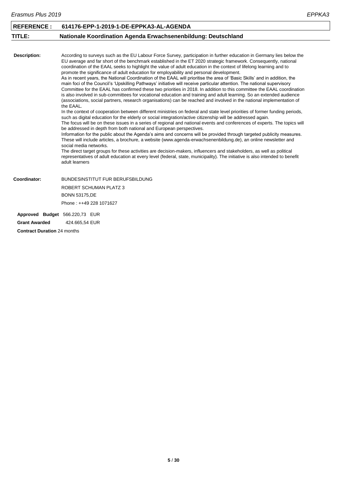<span id="page-5-0"></span>

| <b>REFERENCE:</b>                  | 614176-EPP-1-2019-1-DE-EPPKA3-AL-AGENDA                                                                                                                                                                                                                                                                                                                                                                                                                                                                                                                                                                                                                                                                                                                                                                                                                                                                                                                                                                                                                                                                                                                                                                                                                                                                                                                                                                                                                                                                                                                                                                                                                                                                                                                                                                                                                                                                                                                                                                                                                                                                        |
|------------------------------------|----------------------------------------------------------------------------------------------------------------------------------------------------------------------------------------------------------------------------------------------------------------------------------------------------------------------------------------------------------------------------------------------------------------------------------------------------------------------------------------------------------------------------------------------------------------------------------------------------------------------------------------------------------------------------------------------------------------------------------------------------------------------------------------------------------------------------------------------------------------------------------------------------------------------------------------------------------------------------------------------------------------------------------------------------------------------------------------------------------------------------------------------------------------------------------------------------------------------------------------------------------------------------------------------------------------------------------------------------------------------------------------------------------------------------------------------------------------------------------------------------------------------------------------------------------------------------------------------------------------------------------------------------------------------------------------------------------------------------------------------------------------------------------------------------------------------------------------------------------------------------------------------------------------------------------------------------------------------------------------------------------------------------------------------------------------------------------------------------------------|
| TITLE:                             | Nationale Koordination Agenda Erwachsenenbildung: Deutschland                                                                                                                                                                                                                                                                                                                                                                                                                                                                                                                                                                                                                                                                                                                                                                                                                                                                                                                                                                                                                                                                                                                                                                                                                                                                                                                                                                                                                                                                                                                                                                                                                                                                                                                                                                                                                                                                                                                                                                                                                                                  |
|                                    |                                                                                                                                                                                                                                                                                                                                                                                                                                                                                                                                                                                                                                                                                                                                                                                                                                                                                                                                                                                                                                                                                                                                                                                                                                                                                                                                                                                                                                                                                                                                                                                                                                                                                                                                                                                                                                                                                                                                                                                                                                                                                                                |
| <b>Description:</b>                | According to surveys such as the EU Labour Force Survey, participation in further education in Germany lies below the<br>EU average and far short of the benchmark established in the ET 2020 strategic framework. Consequently, national<br>coordination of the EAAL seeks to highlight the value of adult education in the context of lifelong learning and to<br>promote the significance of adult education for employability and personal development.<br>As in recent years, the National Coordination of the EAAL will prioritise the area of 'Basic Skills' and in addition, the<br>main foci of the Council's 'Upskilling Pathways' initiative will receive particular attention. The national supervisory<br>Committee for the EAAL has confirmed these two priorities in 2018. In addition to this committee the EAAL coordination<br>is also involved in sub-committees for vocational education and training and adult learning. So an extended audience<br>(associations, social partners, research organisations) can be reached and involved in the national implementation of<br>the EAAL.<br>In the context of cooperation between different ministries on federal and state level priorities of former funding periods,<br>such as digital education for the elderly or social integration/active citizenship will be addressed again.<br>The focus will be on these issues in a series of regional and national events and conferences of experts. The topics will<br>be addressed in depth from both national and European perspectives.<br>Information for the public about the Agenda's aims and concerns will be provided through targeted publicity measures.<br>These will include articles, a brochure, a website (www.agenda-erwachsenenbildung.de), an online newsletter and<br>social media networks.<br>The direct target groups for these activities are decision-makers, influencers and stakeholders, as well as political<br>representatives of adult education at every level (federal, state, municipality). The initiative is also intended to benefit<br>adult learners |
| Coordinator:                       | <b>BUNDESINSTITUT FUR BERUFSBILDUNG</b>                                                                                                                                                                                                                                                                                                                                                                                                                                                                                                                                                                                                                                                                                                                                                                                                                                                                                                                                                                                                                                                                                                                                                                                                                                                                                                                                                                                                                                                                                                                                                                                                                                                                                                                                                                                                                                                                                                                                                                                                                                                                        |
|                                    | <b>ROBERT SCHUMAN PLATZ 3</b>                                                                                                                                                                                                                                                                                                                                                                                                                                                                                                                                                                                                                                                                                                                                                                                                                                                                                                                                                                                                                                                                                                                                                                                                                                                                                                                                                                                                                                                                                                                                                                                                                                                                                                                                                                                                                                                                                                                                                                                                                                                                                  |
|                                    | <b>BONN 53175,DE</b>                                                                                                                                                                                                                                                                                                                                                                                                                                                                                                                                                                                                                                                                                                                                                                                                                                                                                                                                                                                                                                                                                                                                                                                                                                                                                                                                                                                                                                                                                                                                                                                                                                                                                                                                                                                                                                                                                                                                                                                                                                                                                           |
|                                    | Phone: ++49 228 1071627                                                                                                                                                                                                                                                                                                                                                                                                                                                                                                                                                                                                                                                                                                                                                                                                                                                                                                                                                                                                                                                                                                                                                                                                                                                                                                                                                                                                                                                                                                                                                                                                                                                                                                                                                                                                                                                                                                                                                                                                                                                                                        |
|                                    | Approved Budget 566.220,73 EUR                                                                                                                                                                                                                                                                                                                                                                                                                                                                                                                                                                                                                                                                                                                                                                                                                                                                                                                                                                                                                                                                                                                                                                                                                                                                                                                                                                                                                                                                                                                                                                                                                                                                                                                                                                                                                                                                                                                                                                                                                                                                                 |
| <b>Grant Awarded</b>               | 424.665,54 EUR                                                                                                                                                                                                                                                                                                                                                                                                                                                                                                                                                                                                                                                                                                                                                                                                                                                                                                                                                                                                                                                                                                                                                                                                                                                                                                                                                                                                                                                                                                                                                                                                                                                                                                                                                                                                                                                                                                                                                                                                                                                                                                 |
| <b>Contract Duration 24 months</b> |                                                                                                                                                                                                                                                                                                                                                                                                                                                                                                                                                                                                                                                                                                                                                                                                                                                                                                                                                                                                                                                                                                                                                                                                                                                                                                                                                                                                                                                                                                                                                                                                                                                                                                                                                                                                                                                                                                                                                                                                                                                                                                                |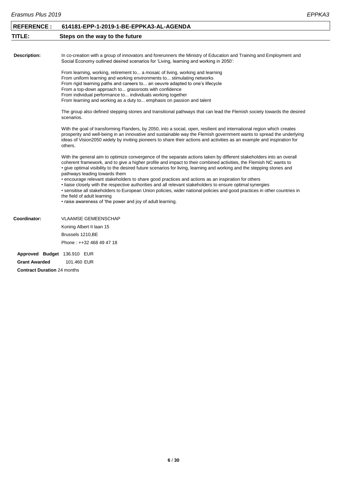<span id="page-6-0"></span>

| Erasmus Plus 2019           |                                                                                                                                                                                                                                                                                                                                                                                                                                                                                                                                                                                                                                                                                                                                                                                                                                                    | <b>EPPKA3</b> |  |
|-----------------------------|----------------------------------------------------------------------------------------------------------------------------------------------------------------------------------------------------------------------------------------------------------------------------------------------------------------------------------------------------------------------------------------------------------------------------------------------------------------------------------------------------------------------------------------------------------------------------------------------------------------------------------------------------------------------------------------------------------------------------------------------------------------------------------------------------------------------------------------------------|---------------|--|
| <b>REFERENCE:</b>           | 614181-EPP-1-2019-1-BE-EPPKA3-AL-AGENDA                                                                                                                                                                                                                                                                                                                                                                                                                                                                                                                                                                                                                                                                                                                                                                                                            |               |  |
| TITLE:                      | Steps on the way to the future                                                                                                                                                                                                                                                                                                                                                                                                                                                                                                                                                                                                                                                                                                                                                                                                                     |               |  |
|                             |                                                                                                                                                                                                                                                                                                                                                                                                                                                                                                                                                                                                                                                                                                                                                                                                                                                    |               |  |
| <b>Description:</b>         | In co-creation with a group of innovators and forerunners the Ministry of Education and Training and Employment and<br>Social Economy outlined desired scenarios for 'Living, learning and working in 2050':                                                                                                                                                                                                                                                                                                                                                                                                                                                                                                                                                                                                                                       |               |  |
|                             | From learning, working, retirement to a mosaic of living, working and learning<br>From uniform learning and working environments to stimulating networks<br>From rigid learning paths and careers to an oeuvre adapted to one's lifecycle<br>From a top-down approach to grassroots with confidence<br>From individual performance to individuals working together<br>From learning and working as a duty to emphasis on passion and talent                                                                                                                                                                                                                                                                                                                                                                                                        |               |  |
|                             | The group also defined stepping stones and transitional pathways that can lead the Flemish society towards the desired<br>scenarios.                                                                                                                                                                                                                                                                                                                                                                                                                                                                                                                                                                                                                                                                                                               |               |  |
|                             | With the goal of transforming Flanders, by 2050, into a social, open, resilient and international region which creates<br>prosperity and well-being in an innovative and sustainable way the Flemish government wants to spread the underlying<br>ideas of Vision2050 widely by inviting pioneers to share their actions and activities as an example and inspiration for<br>others.                                                                                                                                                                                                                                                                                                                                                                                                                                                               |               |  |
|                             | With the general aim to optimize convergence of the separate actions taken by different stakeholders into an overall<br>coherent framework, and to give a higher profile and impact to their combined activities, the Flemish NC wants to<br>• give optimal visibility to the desired future scenarios for living, learning and working and the stepping stones and<br>pathways leading towards them<br>• encourage relevant stakeholders to share good practices and actions as an inspiration for others<br>. liaise closely with the respective authorities and all relevant stakeholders to ensure optimal synergies<br>. sensitise all stakeholders to European Union policies, wider national policies and good practices in other countries in<br>the field of adult learning<br>• raise awareness of 'the power and joy of adult learning. |               |  |
| Coordinator:                | <b>VLAAMSE GEMEENSCHAP</b>                                                                                                                                                                                                                                                                                                                                                                                                                                                                                                                                                                                                                                                                                                                                                                                                                         |               |  |
|                             | Koning Albert II laan 15<br>Brussels 1210, BE<br>Phone: ++32 468 49 47 18                                                                                                                                                                                                                                                                                                                                                                                                                                                                                                                                                                                                                                                                                                                                                                          |               |  |
| Approved Budget 136.910 EUR |                                                                                                                                                                                                                                                                                                                                                                                                                                                                                                                                                                                                                                                                                                                                                                                                                                                    |               |  |
| <b>Grant Awarded</b>        | 101.460 EUR                                                                                                                                                                                                                                                                                                                                                                                                                                                                                                                                                                                                                                                                                                                                                                                                                                        |               |  |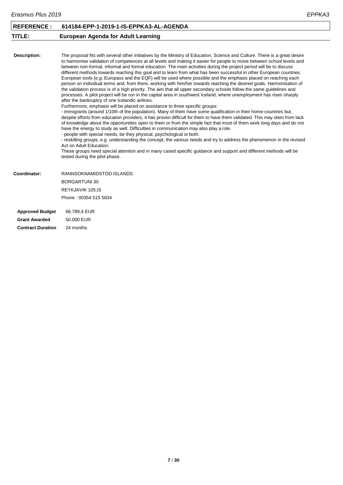<span id="page-7-0"></span>

| Erasmus Plus 2019   |                                                                                                                                                                                                                                                                                                                                                                                                                                                                                                                                                                                                                                                                                                                                                                                                                                                                                                                                                                                                                                                                                                                                                                                                                                                                                                                                                                                                                                                                                                                                                                                                                                                                                                                                                                                                                                                                                                                                                                                                  | EPPKA3 |
|---------------------|--------------------------------------------------------------------------------------------------------------------------------------------------------------------------------------------------------------------------------------------------------------------------------------------------------------------------------------------------------------------------------------------------------------------------------------------------------------------------------------------------------------------------------------------------------------------------------------------------------------------------------------------------------------------------------------------------------------------------------------------------------------------------------------------------------------------------------------------------------------------------------------------------------------------------------------------------------------------------------------------------------------------------------------------------------------------------------------------------------------------------------------------------------------------------------------------------------------------------------------------------------------------------------------------------------------------------------------------------------------------------------------------------------------------------------------------------------------------------------------------------------------------------------------------------------------------------------------------------------------------------------------------------------------------------------------------------------------------------------------------------------------------------------------------------------------------------------------------------------------------------------------------------------------------------------------------------------------------------------------------------|--------|
| <b>REFERENCE:</b>   | 614184-EPP-1-2019-1-IS-EPPKA3-AL-AGENDA                                                                                                                                                                                                                                                                                                                                                                                                                                                                                                                                                                                                                                                                                                                                                                                                                                                                                                                                                                                                                                                                                                                                                                                                                                                                                                                                                                                                                                                                                                                                                                                                                                                                                                                                                                                                                                                                                                                                                          |        |
| TITLE:              | <b>European Agenda for Adult Learning</b>                                                                                                                                                                                                                                                                                                                                                                                                                                                                                                                                                                                                                                                                                                                                                                                                                                                                                                                                                                                                                                                                                                                                                                                                                                                                                                                                                                                                                                                                                                                                                                                                                                                                                                                                                                                                                                                                                                                                                        |        |
| <b>Description:</b> | The proposal fits with several other initiatives by the Ministry of Education, Science and Culture. There is a great desire<br>to harmonise validation of competences at all levels and making it easier for people to move between school levels and<br>between non-formal, informal and formal education. The main activities during the project period will be to discuss<br>different methods towards reaching this goal and to learn from what has been successful in other European countries.<br>European tools (e.g. Europass and the EQF) will be used where possible and the emphasis placed on reaching each<br>person on individual terms and, from there, working with him/her towards reaching the desired goals. Harmonisation of<br>the validation process is of a high priority. The aim that all upper secondary schools follow the same guidelines and<br>processes. A pilot project will be run in the capital area in southwest Iceland, where unemployment has risen sharply<br>after the bankruptcy of one Icelandic airlines.<br>Furthermore, emphasis will be placed on assistance to three specific groups:<br>- immigrants (around 1/10th of the population). Many of them have some qualification in their home-countries but,<br>despite efforts from education providers, it has proven difficult for them to have them validated. This may stem from lack<br>of knowledge about the opportunities open to them or from the simple fact that most of them work long days and do not<br>have the energy to study as well. Difficulties in communication may also play a role.<br>- people with special needs, be they physical, psychological or both.<br>- reskilling groups, e.g. understanding the concept, the various needs and try to address the phenomenon in the revised<br>Act on Adult Education.<br>These groups need special attention and in many cased specific guidance and support and different methods will be<br>tested during the pilot phase. |        |
| Coordinator:        | RANNSOKNAMIDSTOD ISLANDS                                                                                                                                                                                                                                                                                                                                                                                                                                                                                                                                                                                                                                                                                                                                                                                                                                                                                                                                                                                                                                                                                                                                                                                                                                                                                                                                                                                                                                                                                                                                                                                                                                                                                                                                                                                                                                                                                                                                                                         |        |
|                     | <b>BORGARTUNI 30</b>                                                                                                                                                                                                                                                                                                                                                                                                                                                                                                                                                                                                                                                                                                                                                                                                                                                                                                                                                                                                                                                                                                                                                                                                                                                                                                                                                                                                                                                                                                                                                                                                                                                                                                                                                                                                                                                                                                                                                                             |        |
|                     | REYKJAVIK 105, IS                                                                                                                                                                                                                                                                                                                                                                                                                                                                                                                                                                                                                                                                                                                                                                                                                                                                                                                                                                                                                                                                                                                                                                                                                                                                                                                                                                                                                                                                                                                                                                                                                                                                                                                                                                                                                                                                                                                                                                                |        |
|                     | Phone: 00354 515 5834                                                                                                                                                                                                                                                                                                                                                                                                                                                                                                                                                                                                                                                                                                                                                                                                                                                                                                                                                                                                                                                                                                                                                                                                                                                                                                                                                                                                                                                                                                                                                                                                                                                                                                                                                                                                                                                                                                                                                                            |        |
|                     |                                                                                                                                                                                                                                                                                                                                                                                                                                                                                                                                                                                                                                                                                                                                                                                                                                                                                                                                                                                                                                                                                                                                                                                                                                                                                                                                                                                                                                                                                                                                                                                                                                                                                                                                                                                                                                                                                                                                                                                                  |        |

**Approved Budget** 66.789,4 EUR **Grant Awarded** 50.000 EUR **Contract Duration** 24 months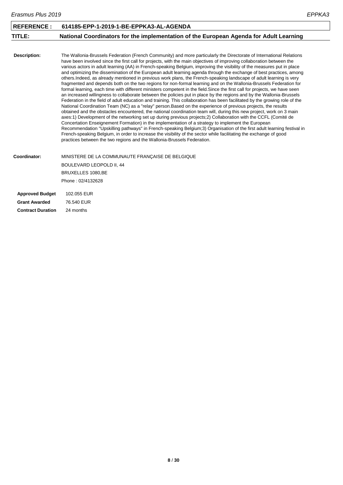<span id="page-8-0"></span>

| Erasmus Plus 2019      |                                                                                                                                                                                                                                                                                                                                                                                                                                                                                                                                                                                                                                                                                                                                                                                                                                                                                                                                                                                                                                                                                                                                                                                                                                                                                                                                                                                                                                                                                                                                                                                                                                                                                                                                                                                                                                                                                                                                      | EPPKA3 |
|------------------------|--------------------------------------------------------------------------------------------------------------------------------------------------------------------------------------------------------------------------------------------------------------------------------------------------------------------------------------------------------------------------------------------------------------------------------------------------------------------------------------------------------------------------------------------------------------------------------------------------------------------------------------------------------------------------------------------------------------------------------------------------------------------------------------------------------------------------------------------------------------------------------------------------------------------------------------------------------------------------------------------------------------------------------------------------------------------------------------------------------------------------------------------------------------------------------------------------------------------------------------------------------------------------------------------------------------------------------------------------------------------------------------------------------------------------------------------------------------------------------------------------------------------------------------------------------------------------------------------------------------------------------------------------------------------------------------------------------------------------------------------------------------------------------------------------------------------------------------------------------------------------------------------------------------------------------------|--------|
| <b>REFERENCE:</b>      | 614185-EPP-1-2019-1-BE-EPPKA3-AL-AGENDA                                                                                                                                                                                                                                                                                                                                                                                                                                                                                                                                                                                                                                                                                                                                                                                                                                                                                                                                                                                                                                                                                                                                                                                                                                                                                                                                                                                                                                                                                                                                                                                                                                                                                                                                                                                                                                                                                              |        |
| TITLE:                 | National Coordinators for the implementation of the European Agenda for Adult Learning                                                                                                                                                                                                                                                                                                                                                                                                                                                                                                                                                                                                                                                                                                                                                                                                                                                                                                                                                                                                                                                                                                                                                                                                                                                                                                                                                                                                                                                                                                                                                                                                                                                                                                                                                                                                                                               |        |
| <b>Description:</b>    | The Wallonia-Brussels Federation (French Community) and more particularly the Directorate of International Relations<br>have been involved since the first call for projects, with the main objectives of improving collaboration between the<br>various actors in adult learning (AA) in French-speaking Belgium, improving the visibility of the measures put in place<br>and optimizing the dissemination of the European adult learning agenda through the exchange of best practices, among<br>others. Indeed, as already mentioned in previous work plans, the French-speaking landscape of adult learning is very<br>fragmented and depends both on the two regions for non-formal learning and on the Wallonia-Brussels Federation for<br>formal learning, each time with different ministers competent in the field. Since the first call for projects, we have seen<br>an increased willingness to collaborate between the policies put in place by the regions and by the Wallonia-Brussels<br>Federation in the field of adult education and training. This collaboration has been facilitated by the growing role of the<br>National Coordination Team (NC) as a "relay" person. Based on the experience of previous projects, the results<br>obtained and the obstacles encountered, the national coordination team will, during this new project, work on 3 main<br>axes:1) Development of the networking set up during previous projects;2) Collaboration with the CCFL (Comité de<br>Concertation Enseignement Formation) in the implementation of a strategy to implement the European<br>Recommendation "Upskilling pathways" in French-speaking Belgium;3) Organisation of the first adult learning festival in<br>French-speaking Belgium, in order to increase the visibility of the sector while facilitating the exchange of good<br>practices between the two regions and the Wallonia-Brussels Federation. |        |
| Coordinator:           | MINISTERE DE LA COMMUNAUTE FRANÇAISE DE BELGIQUE                                                                                                                                                                                                                                                                                                                                                                                                                                                                                                                                                                                                                                                                                                                                                                                                                                                                                                                                                                                                                                                                                                                                                                                                                                                                                                                                                                                                                                                                                                                                                                                                                                                                                                                                                                                                                                                                                     |        |
|                        | BOULEVARD LEOPOLD II, 44<br>BRUXELLES 1080, BE                                                                                                                                                                                                                                                                                                                                                                                                                                                                                                                                                                                                                                                                                                                                                                                                                                                                                                                                                                                                                                                                                                                                                                                                                                                                                                                                                                                                                                                                                                                                                                                                                                                                                                                                                                                                                                                                                       |        |
|                        | Phone: 02/4132628                                                                                                                                                                                                                                                                                                                                                                                                                                                                                                                                                                                                                                                                                                                                                                                                                                                                                                                                                                                                                                                                                                                                                                                                                                                                                                                                                                                                                                                                                                                                                                                                                                                                                                                                                                                                                                                                                                                    |        |
|                        |                                                                                                                                                                                                                                                                                                                                                                                                                                                                                                                                                                                                                                                                                                                                                                                                                                                                                                                                                                                                                                                                                                                                                                                                                                                                                                                                                                                                                                                                                                                                                                                                                                                                                                                                                                                                                                                                                                                                      |        |
| <b>Approved Budget</b> | 102.055 EUR                                                                                                                                                                                                                                                                                                                                                                                                                                                                                                                                                                                                                                                                                                                                                                                                                                                                                                                                                                                                                                                                                                                                                                                                                                                                                                                                                                                                                                                                                                                                                                                                                                                                                                                                                                                                                                                                                                                          |        |
| <b>Grant Awarded</b>   | 76.540 EUR                                                                                                                                                                                                                                                                                                                                                                                                                                                                                                                                                                                                                                                                                                                                                                                                                                                                                                                                                                                                                                                                                                                                                                                                                                                                                                                                                                                                                                                                                                                                                                                                                                                                                                                                                                                                                                                                                                                           |        |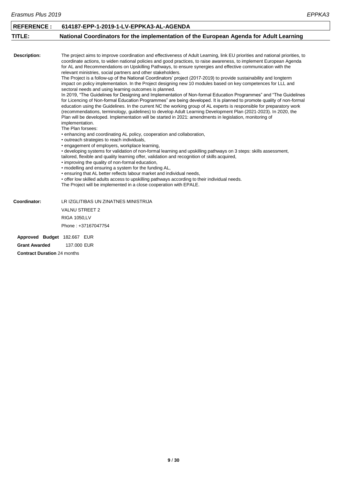<span id="page-9-0"></span>

| <b>REFERENCE:</b>                                   | 614187-EPP-1-2019-1-LV-EPPKA3-AL-AGENDA                                                                                                                                                                                                                                                                                                                                                                                                                                                                                                                                                                                                                                                                                                                                                                                                                                                                                                                                                                                                                                                                                                                                                                                                                                                                                                                                                                                                                                                                                                                                                                                                                                                                                                                                                                                                                                                                                                                                                                                                                                                                                                           |
|-----------------------------------------------------|---------------------------------------------------------------------------------------------------------------------------------------------------------------------------------------------------------------------------------------------------------------------------------------------------------------------------------------------------------------------------------------------------------------------------------------------------------------------------------------------------------------------------------------------------------------------------------------------------------------------------------------------------------------------------------------------------------------------------------------------------------------------------------------------------------------------------------------------------------------------------------------------------------------------------------------------------------------------------------------------------------------------------------------------------------------------------------------------------------------------------------------------------------------------------------------------------------------------------------------------------------------------------------------------------------------------------------------------------------------------------------------------------------------------------------------------------------------------------------------------------------------------------------------------------------------------------------------------------------------------------------------------------------------------------------------------------------------------------------------------------------------------------------------------------------------------------------------------------------------------------------------------------------------------------------------------------------------------------------------------------------------------------------------------------------------------------------------------------------------------------------------------------|
| TITLE:                                              | National Coordinators for the implementation of the European Agenda for Adult Learning                                                                                                                                                                                                                                                                                                                                                                                                                                                                                                                                                                                                                                                                                                                                                                                                                                                                                                                                                                                                                                                                                                                                                                                                                                                                                                                                                                                                                                                                                                                                                                                                                                                                                                                                                                                                                                                                                                                                                                                                                                                            |
|                                                     |                                                                                                                                                                                                                                                                                                                                                                                                                                                                                                                                                                                                                                                                                                                                                                                                                                                                                                                                                                                                                                                                                                                                                                                                                                                                                                                                                                                                                                                                                                                                                                                                                                                                                                                                                                                                                                                                                                                                                                                                                                                                                                                                                   |
| <b>Description:</b>                                 | The project aims to improve coordination and effectiveness of Adult Learning, link EU priorities and national priorities, to<br>coordinate actions, to widen national policies and good practices, to raise awareness, to implement European Agenda<br>for AL and Recommendations on Upskilling Pathways, to ensure synergies and effective communication with the<br>relevant ministries, social partners and other stakeholders.<br>The Project is a follow-up of the National Coordinators' project (2017-2019) to provide sustainability and longterm<br>impact on policy implementation. In the Project designing new 10 modules based on key competences for LLL and<br>sectoral needs and using learning outcomes is planned.<br>In 2019, "The Guidelines for Designing and Implementation of Non-formal Education Programmes" and "The Guidelines<br>for Licencing of Non-formal Education Programmes" are being developed. It is planned to promote quality of non-formal<br>education using the Guidelines. In the current NC the working group of AL experts is responsible for preparatory work<br>(recommendations, terminology, guidelines) to develop Adult Learning Development Plan (2021-2023). In 2020, the<br>Plan will be developed. Implementation will be started in 2021: amendments in legislation, monitoring of<br>implementation.<br>The Plan forsees:<br>• enhancing and coordinating AL policy, cooperation and collaboration,<br>• outreach strategies to reach individuals,<br>• engagement of employers, workplace learning,<br>• developing systems for validation of non-formal learning and upskilling pathways on 3 steps: skills assessment,<br>tailored, flexible and quality learning offer, validation and recognition of skills acquired,<br>• improving the quality of non-formal education,<br>• modelling and ensuring a system for the funding AL,<br>. ensuring that AL better reflects labour market and individual needs,<br>• offer low skilled adults access to upskilling pathways according to their individual needs.<br>The Project will be implemented in a close cooperation with EPALE. |
| Coordinator:                                        | LR IZGLITIBAS UN ZINATNES MINISTRIJA                                                                                                                                                                                                                                                                                                                                                                                                                                                                                                                                                                                                                                                                                                                                                                                                                                                                                                                                                                                                                                                                                                                                                                                                                                                                                                                                                                                                                                                                                                                                                                                                                                                                                                                                                                                                                                                                                                                                                                                                                                                                                                              |
|                                                     | <b>VALNU STREET 2</b>                                                                                                                                                                                                                                                                                                                                                                                                                                                                                                                                                                                                                                                                                                                                                                                                                                                                                                                                                                                                                                                                                                                                                                                                                                                                                                                                                                                                                                                                                                                                                                                                                                                                                                                                                                                                                                                                                                                                                                                                                                                                                                                             |
|                                                     | <b>RIGA 1050,LV</b>                                                                                                                                                                                                                                                                                                                                                                                                                                                                                                                                                                                                                                                                                                                                                                                                                                                                                                                                                                                                                                                                                                                                                                                                                                                                                                                                                                                                                                                                                                                                                                                                                                                                                                                                                                                                                                                                                                                                                                                                                                                                                                                               |
|                                                     | Phone: +37167047754                                                                                                                                                                                                                                                                                                                                                                                                                                                                                                                                                                                                                                                                                                                                                                                                                                                                                                                                                                                                                                                                                                                                                                                                                                                                                                                                                                                                                                                                                                                                                                                                                                                                                                                                                                                                                                                                                                                                                                                                                                                                                                                               |
| Approved Budget 182.667 EUR<br><b>Grant Awarded</b> | 137.000 EUR                                                                                                                                                                                                                                                                                                                                                                                                                                                                                                                                                                                                                                                                                                                                                                                                                                                                                                                                                                                                                                                                                                                                                                                                                                                                                                                                                                                                                                                                                                                                                                                                                                                                                                                                                                                                                                                                                                                                                                                                                                                                                                                                       |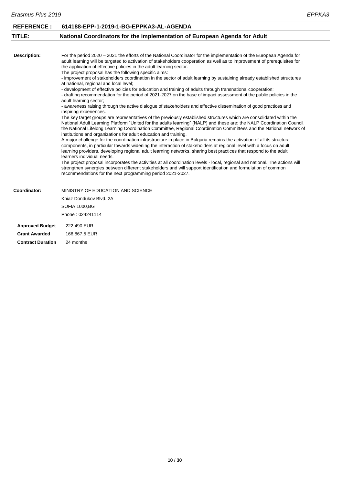<span id="page-10-0"></span>

| <b>REFERENCE:</b>        | 614188-EPP-1-2019-1-BG-EPPKA3-AL-AGENDA                                                                                                                                                                                                                                                                                                                                                                                                                                                                     |
|--------------------------|-------------------------------------------------------------------------------------------------------------------------------------------------------------------------------------------------------------------------------------------------------------------------------------------------------------------------------------------------------------------------------------------------------------------------------------------------------------------------------------------------------------|
| TITLE:                   | National Coordinators for the implementation of European Agenda for Adult                                                                                                                                                                                                                                                                                                                                                                                                                                   |
|                          |                                                                                                                                                                                                                                                                                                                                                                                                                                                                                                             |
| <b>Description:</b>      | For the period 2020 – 2021 the efforts of the National Coordinator for the implementation of the European Agenda for<br>adult learning will be targeted to activation of stakeholders cooperation as well as to improvement of prerequisites for<br>the application of effective policies in the adult learning sector.<br>The project proposal has the following specific aims:<br>- improvement of stakeholders coordination in the sector of adult learning by sustaining already established structures |
|                          | at national, regional and local level;                                                                                                                                                                                                                                                                                                                                                                                                                                                                      |
|                          | - development of effective policies for education and training of adults through transnational cooperation;<br>- drafting recommendation for the period of 2021-2027 on the base of impact assessment of the public policies in the<br>adult learning sector;                                                                                                                                                                                                                                               |
|                          | - awareness raising through the active dialogue of stakeholders and effective dissemination of good practices and<br>inspiring experiences.                                                                                                                                                                                                                                                                                                                                                                 |
|                          | The key target groups are representatives of the previously established structures which are consolidated within the<br>National Adult Learning Platform "United for the adults learning" (NALP) and these are: the NALP Coordination Council,<br>the National Lifelong Learning Coordination Committee, Regional Coordination Committees and the National network of<br>institutions and organizations for adult education and training.                                                                   |
|                          | A major challenge for the coordination infrastructure in place in Bulgaria remains the activation of all its structural<br>components, in particular towards widening the interaction of stakeholders at regional level with a focus on adult<br>learning providers, developing regional adult learning networks, sharing best practices that respond to the adult<br>learners individual needs.                                                                                                            |
|                          | The project proposal incorporates the activities at all coordination levels - local, regional and national. The actions will<br>strengthen synergies between different stakeholders and will support identification and formulation of common<br>recommendations for the next programming period 2021-2027.                                                                                                                                                                                                 |
| Coordinator:             | MINISTRY OF EDUCATION AND SCIENCE                                                                                                                                                                                                                                                                                                                                                                                                                                                                           |
|                          | Kniaz Dondukov Blvd, 2A                                                                                                                                                                                                                                                                                                                                                                                                                                                                                     |
|                          | <b>SOFIA 1000,BG</b>                                                                                                                                                                                                                                                                                                                                                                                                                                                                                        |
|                          | Phone: 024241114                                                                                                                                                                                                                                                                                                                                                                                                                                                                                            |
| <b>Approved Budget</b>   | 222.490 EUR                                                                                                                                                                                                                                                                                                                                                                                                                                                                                                 |
| <b>Grant Awarded</b>     | 166.867,5 EUR                                                                                                                                                                                                                                                                                                                                                                                                                                                                                               |
| <b>Contract Duration</b> | 24 months                                                                                                                                                                                                                                                                                                                                                                                                                                                                                                   |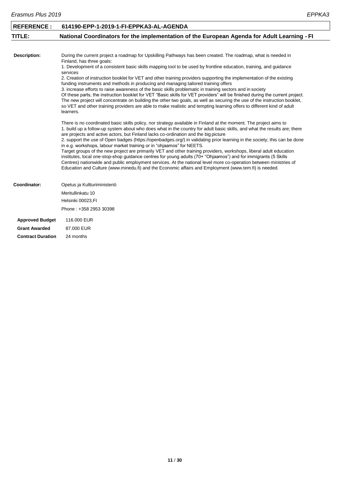<span id="page-11-0"></span>

| <b>REFERENCE:</b>        | 614190-EPP-1-2019-1-FI-EPPKA3-AL-AGENDA                                                                                                                                                                                                                                                                                                                                                                                                                                                                                                     |
|--------------------------|---------------------------------------------------------------------------------------------------------------------------------------------------------------------------------------------------------------------------------------------------------------------------------------------------------------------------------------------------------------------------------------------------------------------------------------------------------------------------------------------------------------------------------------------|
| TITLE:                   | National Coordinators for the implementation of the European Agenda for Adult Learning - FI                                                                                                                                                                                                                                                                                                                                                                                                                                                 |
|                          |                                                                                                                                                                                                                                                                                                                                                                                                                                                                                                                                             |
| <b>Description:</b>      | During the current project a roadmap for Upskilling Pathways has been created. The roadmap, what is needed in<br>Finland, has three goals:                                                                                                                                                                                                                                                                                                                                                                                                  |
|                          | 1. Development of a consistent basic skills mapping tool to be used by frontline education, training, and quidance<br>services                                                                                                                                                                                                                                                                                                                                                                                                              |
|                          | 2. Creation of instruction booklet for VET and other training providers supporting the implementation of the existing<br>funding instruments and methods in producing and managing tailored training offers                                                                                                                                                                                                                                                                                                                                 |
|                          | 3. increase efforts to raise awareness of the basic skills problematic in training sectors and in society<br>Of these parts, the instruction booklet for VET "Basic skills for VET providers" will be finished during the current project.<br>The new project will concentrate on building the other two goals, as well as securing the use of the instruction booklet,<br>so VET and other training providers are able to make realistic and tempting learning offers to different kind of adult<br>learners.                              |
|                          | There is no coordinated basic skills policy, nor strategy available in Finland at the moment. The project aims to<br>1. build up a follow-up system about who does what in the country for adult basic skills, and what the results are; there<br>are projects and active actors, but Finland lacks co-ordination and the big picture<br>2. support the use of Open badges (https://openbadges.org/) in validating prior learning in the society; this can be done<br>in e.g. workshops, labour market training or in "ohjaamos" for NEETS. |
|                          | Target groups of the new project are primarily VET and other training providers, workshops, liberal adult education<br>institutes, local one-stop-shop guidance centres for young adults (70+ "Ohjaamos") and for immigrants (5 Skills<br>Centres) nationwide and public employment services. At the national level more co-operation between ministries of<br>Education and Culture (www.minedu.fi) and the Economic affairs and Employment (www.tem.fi) is needed.                                                                        |
| Coordinator:             | Opetus ja Kultturiministeriö                                                                                                                                                                                                                                                                                                                                                                                                                                                                                                                |
|                          | Meritullinkatu 10                                                                                                                                                                                                                                                                                                                                                                                                                                                                                                                           |
|                          | Helsinki 00023,FI                                                                                                                                                                                                                                                                                                                                                                                                                                                                                                                           |
|                          | Phone: +358 2953 30398                                                                                                                                                                                                                                                                                                                                                                                                                                                                                                                      |
| <b>Approved Budget</b>   | 116,000 EUR                                                                                                                                                                                                                                                                                                                                                                                                                                                                                                                                 |
| <b>Grant Awarded</b>     | 87,000 EUR                                                                                                                                                                                                                                                                                                                                                                                                                                                                                                                                  |
| <b>Contract Duration</b> | 24 months                                                                                                                                                                                                                                                                                                                                                                                                                                                                                                                                   |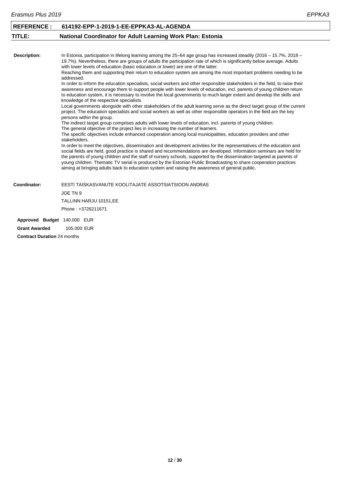<span id="page-12-0"></span>

| <b>REFERENCE:</b>           | 614192-EPP-1-2019-1-EE-EPPKA3-AL-AGENDA                                                                                                                                                                                                                                                                                                                                                                                                                                                                                                                                                         |
|-----------------------------|-------------------------------------------------------------------------------------------------------------------------------------------------------------------------------------------------------------------------------------------------------------------------------------------------------------------------------------------------------------------------------------------------------------------------------------------------------------------------------------------------------------------------------------------------------------------------------------------------|
| TITLE:                      | National Coordinator for Adult Learning Work Plan: Estonia                                                                                                                                                                                                                                                                                                                                                                                                                                                                                                                                      |
|                             |                                                                                                                                                                                                                                                                                                                                                                                                                                                                                                                                                                                                 |
| <b>Description:</b>         | In Estonia, participation in lifelong learning among the 25–64 age group has increased steadily (2016 – 15.7%, 2018 –<br>19.7%). Nevertheless, there are groups of adults the participation rate of which is significantly below average. Adults<br>with lower levels of education (basic education or lower) are one of the latter.<br>Reaching them and supporting their return to education system are among the most important problems needing to be                                                                                                                                       |
|                             | addressed.                                                                                                                                                                                                                                                                                                                                                                                                                                                                                                                                                                                      |
|                             | In order to inform the education specialists, social workers and other responsible stakeholders in the field, to raise their<br>awareness and encourage them to support people with lower levels of education, incl. parents of young children return<br>to education system, it is necessary to involve the local governments to much larger extent and develop the skills and<br>knowledge of the respective specialists.                                                                                                                                                                     |
|                             | Local governments alongside with other stakeholders of the adult learning serve as the direct target group of the current<br>project. The education specialists and social workers as well as other responsible operators in the field are the key<br>persons within the group.                                                                                                                                                                                                                                                                                                                 |
|                             | The indirect target group comprises adults with lower levels of education, incl. parents of young children.                                                                                                                                                                                                                                                                                                                                                                                                                                                                                     |
|                             | The general objective of the project lies in increasing the number of learners.                                                                                                                                                                                                                                                                                                                                                                                                                                                                                                                 |
|                             | The specific objectives include enhanced cooperation among local municipalities, education providers and other<br>stakeholders.                                                                                                                                                                                                                                                                                                                                                                                                                                                                 |
|                             | In order to meet the objectives, dissemination and development activities for the representatives of the education and<br>social fields are held, good practice is shared and recommendations are developed. Information seminars are held for<br>the parents of young children and the staff of nursery schools, supported by the dissemination targeted at parents of<br>young children. Thematic TV serial is produced by the Estonian Public Broadcasting to share cooperation practices<br>aiming at bringing adults back to education system and raising the awareness of general public. |
| Coordinator:                | EESTI TAISKASVANUTE KOOLITAJATE ASSOTSIATSIOON ANDRAS                                                                                                                                                                                                                                                                                                                                                                                                                                                                                                                                           |
|                             | JOE TN 9                                                                                                                                                                                                                                                                                                                                                                                                                                                                                                                                                                                        |
|                             | TALLINN HARJU 10151, EE                                                                                                                                                                                                                                                                                                                                                                                                                                                                                                                                                                         |
|                             | Phone: +3726211671                                                                                                                                                                                                                                                                                                                                                                                                                                                                                                                                                                              |
| Approved Budget 140.000 EUR |                                                                                                                                                                                                                                                                                                                                                                                                                                                                                                                                                                                                 |
| <b>Grant Awarded</b>        | 105,000 EUR                                                                                                                                                                                                                                                                                                                                                                                                                                                                                                                                                                                     |
|                             | $\mathbf{a}$ $\mathbf{a}$ $\mathbf{a}$ $\mathbf{a}$ $\mathbf{a}$                                                                                                                                                                                                                                                                                                                                                                                                                                                                                                                                |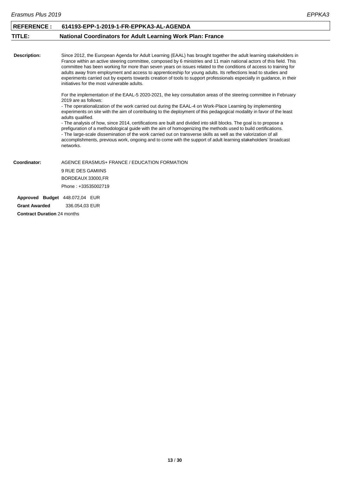<span id="page-13-0"></span>

| <b>REFERENCE:</b>    | 614193-EPP-1-2019-1-FR-EPPKA3-AL-AGENDA                                                                                                                                                                                                                                                                                                                                                                                                                                                                                                                                                                                                                                                                                                                                                                                                                                                        |
|----------------------|------------------------------------------------------------------------------------------------------------------------------------------------------------------------------------------------------------------------------------------------------------------------------------------------------------------------------------------------------------------------------------------------------------------------------------------------------------------------------------------------------------------------------------------------------------------------------------------------------------------------------------------------------------------------------------------------------------------------------------------------------------------------------------------------------------------------------------------------------------------------------------------------|
| TITLE:               | <b>National Coordinators for Adult Learning Work Plan: France</b>                                                                                                                                                                                                                                                                                                                                                                                                                                                                                                                                                                                                                                                                                                                                                                                                                              |
|                      |                                                                                                                                                                                                                                                                                                                                                                                                                                                                                                                                                                                                                                                                                                                                                                                                                                                                                                |
| Description:         | Since 2012, the European Agenda for Adult Learning (EAAL) has brought together the adult learning stakeholders in<br>France within an active steering committee, composed by 6 ministries and 11 main national actors of this field. This<br>committee has been working for more than seven years on issues related to the conditions of access to training for<br>adults away from employment and access to apprenticeship for young adults. Its reflections lead to studies and<br>experiments carried out by experts towards creation of tools to support professionals especially in guidance, in their<br>initiatives for the most vulnerable adults.                                                                                                                                                                                                                                     |
|                      | For the implementation of the EAAL-5 2020-2021, the key consultation areas of the steering committee in February<br>2019 are as follows:<br>- The operationalization of the work carried out during the EAAL-4 on Work-Place Learning by implementing<br>experiments on site with the aim of contributing to the deployment of this pedagogical modality in favor of the least<br>adults qualified.<br>- The analysis of how, since 2014, certifications are built and divided into skill blocks. The goal is to propose a<br>prefiguration of a methodological guide with the aim of homogenizing the methods used to build certifications.<br>- The large-scale dissemination of the work carried out on transverse skills as well as the valorization of all<br>accomplishments, previous work, ongoing and to come with the support of adult learning stakeholders' broadcast<br>networks. |
| Coordinator:         | AGENCE ERASMUS+ FRANCE / EDUCATION FORMATION                                                                                                                                                                                                                                                                                                                                                                                                                                                                                                                                                                                                                                                                                                                                                                                                                                                   |
|                      | 9 RUE DES GAMIINS                                                                                                                                                                                                                                                                                                                                                                                                                                                                                                                                                                                                                                                                                                                                                                                                                                                                              |
|                      | BORDEAUX 33000, FR                                                                                                                                                                                                                                                                                                                                                                                                                                                                                                                                                                                                                                                                                                                                                                                                                                                                             |
|                      | Phone: +33535002719                                                                                                                                                                                                                                                                                                                                                                                                                                                                                                                                                                                                                                                                                                                                                                                                                                                                            |
|                      | Approved Budget 448.072,04 EUR                                                                                                                                                                                                                                                                                                                                                                                                                                                                                                                                                                                                                                                                                                                                                                                                                                                                 |
| <b>Grant Awarded</b> | 336.054.03 EUR                                                                                                                                                                                                                                                                                                                                                                                                                                                                                                                                                                                                                                                                                                                                                                                                                                                                                 |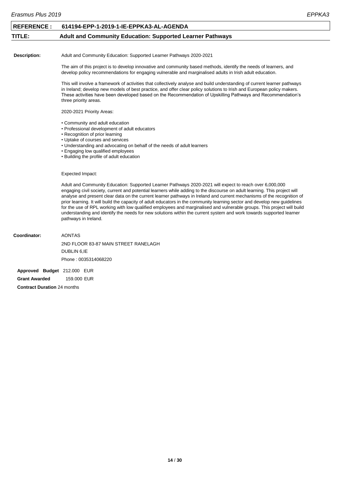<span id="page-14-0"></span>

| Erasmus Plus 2019   |                                                                                                                                                                                                                                                                                                                                                                                                                                                                                                                                                                                                                                                                                                                                                                       | EPPKA3 |
|---------------------|-----------------------------------------------------------------------------------------------------------------------------------------------------------------------------------------------------------------------------------------------------------------------------------------------------------------------------------------------------------------------------------------------------------------------------------------------------------------------------------------------------------------------------------------------------------------------------------------------------------------------------------------------------------------------------------------------------------------------------------------------------------------------|--------|
| <b>REFERENCE:</b>   | 614194-EPP-1-2019-1-IE-EPPKA3-AL-AGENDA                                                                                                                                                                                                                                                                                                                                                                                                                                                                                                                                                                                                                                                                                                                               |        |
| TITLE:              | <b>Adult and Community Education: Supported Learner Pathways</b>                                                                                                                                                                                                                                                                                                                                                                                                                                                                                                                                                                                                                                                                                                      |        |
|                     |                                                                                                                                                                                                                                                                                                                                                                                                                                                                                                                                                                                                                                                                                                                                                                       |        |
| <b>Description:</b> | Adult and Community Education: Supported Learner Pathways 2020-2021                                                                                                                                                                                                                                                                                                                                                                                                                                                                                                                                                                                                                                                                                                   |        |
|                     | The aim of this project is to develop innovative and community based methods, identify the needs of learners, and<br>develop policy recommendations for engaging vulnerable and marginalised adults in Irish adult education.                                                                                                                                                                                                                                                                                                                                                                                                                                                                                                                                         |        |
|                     | This will involve a framework of activities that collectively analyse and build understanding of current learner pathways<br>in Ireland; develop new models of best practice, and offer clear policy solutions to Irish and European policy makers.<br>These activities have been developed based on the Recommendation of Upskilling Pathways and Recommendation's<br>three priority areas.                                                                                                                                                                                                                                                                                                                                                                          |        |
|                     | 2020-2021 Priority Areas:                                                                                                                                                                                                                                                                                                                                                                                                                                                                                                                                                                                                                                                                                                                                             |        |
|                     | • Community and adult education<br>• Professional development of adult educators<br>• Recognition of prior learning<br>• Uptake of courses and services<br>• Understanding and advocating on behalf of the needs of adult learners<br>• Engaging low qualified employees<br>• Building the profile of adult education                                                                                                                                                                                                                                                                                                                                                                                                                                                 |        |
|                     | Expected Impact:                                                                                                                                                                                                                                                                                                                                                                                                                                                                                                                                                                                                                                                                                                                                                      |        |
|                     | Adult and Community Education: Supported Learner Pathways 2020-2021 will expect to reach over 6,000,000<br>engaging civil society, current and potential learners while adding to the discourse on adult learning. This project will<br>analyse and present clear data on the current learner pathways in Ireland and current mechanisms of the recognition of<br>prior learning. It will build the capacity of adult educators in the community learning sector and develop new guidelines<br>for the use of RPL working with low qualified employees and marginalised and vulnerable groups. This project will build<br>understanding and identify the needs for new solutions within the current system and work towards supported learner<br>pathways in Ireland. |        |
| Coordinator:        | <b>AONTAS</b>                                                                                                                                                                                                                                                                                                                                                                                                                                                                                                                                                                                                                                                                                                                                                         |        |
|                     | 2ND FLOOR 83-87 MAIN STREET RANELAGH                                                                                                                                                                                                                                                                                                                                                                                                                                                                                                                                                                                                                                                                                                                                  |        |
|                     | DUBLIN 6, IE                                                                                                                                                                                                                                                                                                                                                                                                                                                                                                                                                                                                                                                                                                                                                          |        |
|                     | Phone: 0035314068220                                                                                                                                                                                                                                                                                                                                                                                                                                                                                                                                                                                                                                                                                                                                                  |        |
|                     |                                                                                                                                                                                                                                                                                                                                                                                                                                                                                                                                                                                                                                                                                                                                                                       |        |

**Approved Budget** 212.000 EUR **Grant Awarded** 159.000 EUR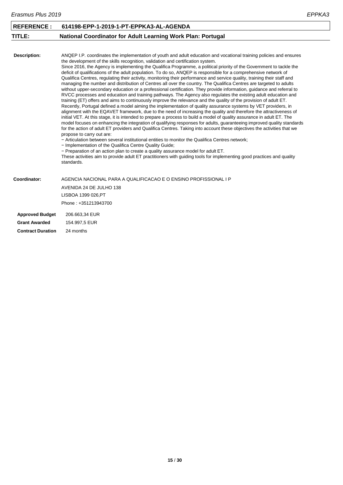<span id="page-15-0"></span>

| <b>REFERENCE:</b>        | 614198-EPP-1-2019-1-PT-EPPKA3-AL-AGENDA                                                                                                                                                                                                                                                                                                                                                                                                                                                                                                                                                                                                                                                                                                                                                                                                                                                                                                                                                                                                                                                                                                                                                                                                                                                                                                                                                                                                                                                                                                                                                                                                                                                                                                                                                                                                                                                                                                                                                                                                                                                                            |
|--------------------------|--------------------------------------------------------------------------------------------------------------------------------------------------------------------------------------------------------------------------------------------------------------------------------------------------------------------------------------------------------------------------------------------------------------------------------------------------------------------------------------------------------------------------------------------------------------------------------------------------------------------------------------------------------------------------------------------------------------------------------------------------------------------------------------------------------------------------------------------------------------------------------------------------------------------------------------------------------------------------------------------------------------------------------------------------------------------------------------------------------------------------------------------------------------------------------------------------------------------------------------------------------------------------------------------------------------------------------------------------------------------------------------------------------------------------------------------------------------------------------------------------------------------------------------------------------------------------------------------------------------------------------------------------------------------------------------------------------------------------------------------------------------------------------------------------------------------------------------------------------------------------------------------------------------------------------------------------------------------------------------------------------------------------------------------------------------------------------------------------------------------|
| TITLE:                   | <b>National Coordinator for Adult Learning Work Plan: Portugal</b>                                                                                                                                                                                                                                                                                                                                                                                                                                                                                                                                                                                                                                                                                                                                                                                                                                                                                                                                                                                                                                                                                                                                                                                                                                                                                                                                                                                                                                                                                                                                                                                                                                                                                                                                                                                                                                                                                                                                                                                                                                                 |
|                          |                                                                                                                                                                                                                                                                                                                                                                                                                                                                                                                                                                                                                                                                                                                                                                                                                                                                                                                                                                                                                                                                                                                                                                                                                                                                                                                                                                                                                                                                                                                                                                                                                                                                                                                                                                                                                                                                                                                                                                                                                                                                                                                    |
| <b>Description:</b>      | ANQEP I.P. coordinates the implementation of youth and adult education and vocational training policies and ensures<br>the development of the skills recognition, validation and certification system.<br>Since 2016, the Agency is implementing the Qualifica Programme, a political priority of the Government to tackle the<br>deficit of qualifications of the adult population. To do so, ANQEP is responsible for a comprehensive network of<br>Qualifica Centres, regulating their activity, monitoring their performance and service quality, training their staff and<br>managing the number and distribution of Centres all over the country. The Qualifica Centres are targeted to adults<br>without upper-secondary education or a professional certification. They provide information, guidance and referral to<br>RVCC processes and education and training pathways. The Agency also regulates the existing adult education and<br>training (ET) offers and aims to continuously improve the relevance and the quality of the provision of adult ET.<br>Recently, Portugal defined a model aiming the implementation of quality assurance systems by VET providers, in<br>alignment with the EQAVET framework, due to the need of increasing the quality and therefore the attractiveness of<br>initial VET. At this stage, it is intended to prepare a process to build a model of quality assurance in adult ET. The<br>model focuses on enhancing the integration of qualifying responses for adults, guaranteeing improved quality standards<br>for the action of adult ET providers and Qualifica Centres. Taking into account these objectives the activities that we<br>propose to carry out are:<br>- Articulation between several institutional entities to monitor the Qualifica Centres network:<br>- Implementation of the Qualifica Centre Quality Guide;<br>- Preparation of an action plan to create a quality assurance model for adult ET.<br>These activities aim to provide adult ET practitioners with guiding tools for implementing good practices and quality<br>standards. |
| Coordinator:             | AGENCIA NACIONAL PARA A QUALIFICACAO E O ENSINO PROFISSIONAL I P                                                                                                                                                                                                                                                                                                                                                                                                                                                                                                                                                                                                                                                                                                                                                                                                                                                                                                                                                                                                                                                                                                                                                                                                                                                                                                                                                                                                                                                                                                                                                                                                                                                                                                                                                                                                                                                                                                                                                                                                                                                   |
|                          | AVENIDA 24 DE JULHO 138                                                                                                                                                                                                                                                                                                                                                                                                                                                                                                                                                                                                                                                                                                                                                                                                                                                                                                                                                                                                                                                                                                                                                                                                                                                                                                                                                                                                                                                                                                                                                                                                                                                                                                                                                                                                                                                                                                                                                                                                                                                                                            |
|                          | LISBOA 1399 026, PT                                                                                                                                                                                                                                                                                                                                                                                                                                                                                                                                                                                                                                                                                                                                                                                                                                                                                                                                                                                                                                                                                                                                                                                                                                                                                                                                                                                                                                                                                                                                                                                                                                                                                                                                                                                                                                                                                                                                                                                                                                                                                                |
|                          | Phone: +351213943700                                                                                                                                                                                                                                                                                                                                                                                                                                                                                                                                                                                                                                                                                                                                                                                                                                                                                                                                                                                                                                                                                                                                                                                                                                                                                                                                                                                                                                                                                                                                                                                                                                                                                                                                                                                                                                                                                                                                                                                                                                                                                               |
| <b>Approved Budget</b>   | 206.663,34 EUR                                                                                                                                                                                                                                                                                                                                                                                                                                                                                                                                                                                                                                                                                                                                                                                                                                                                                                                                                                                                                                                                                                                                                                                                                                                                                                                                                                                                                                                                                                                                                                                                                                                                                                                                                                                                                                                                                                                                                                                                                                                                                                     |
| <b>Grant Awarded</b>     | 154.997,5 EUR                                                                                                                                                                                                                                                                                                                                                                                                                                                                                                                                                                                                                                                                                                                                                                                                                                                                                                                                                                                                                                                                                                                                                                                                                                                                                                                                                                                                                                                                                                                                                                                                                                                                                                                                                                                                                                                                                                                                                                                                                                                                                                      |
| <b>Contract Duration</b> | 24 months                                                                                                                                                                                                                                                                                                                                                                                                                                                                                                                                                                                                                                                                                                                                                                                                                                                                                                                                                                                                                                                                                                                                                                                                                                                                                                                                                                                                                                                                                                                                                                                                                                                                                                                                                                                                                                                                                                                                                                                                                                                                                                          |

**15** / **30**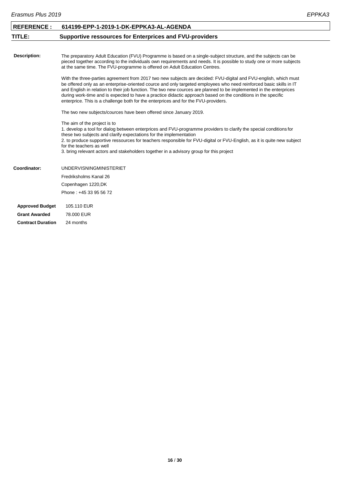<span id="page-16-0"></span>

| <b>REFERENCE:</b>        | 614199-EPP-1-2019-1-DK-EPPKA3-AL-AGENDA                                                                                                                                                                                                                                                                                                                                                                                                                                                                                                                                |
|--------------------------|------------------------------------------------------------------------------------------------------------------------------------------------------------------------------------------------------------------------------------------------------------------------------------------------------------------------------------------------------------------------------------------------------------------------------------------------------------------------------------------------------------------------------------------------------------------------|
| TITLE:                   | <b>Supportive ressources for Enterprices and FVU-providers</b>                                                                                                                                                                                                                                                                                                                                                                                                                                                                                                         |
|                          |                                                                                                                                                                                                                                                                                                                                                                                                                                                                                                                                                                        |
| <b>Description:</b>      | The preparatory Adult Education (FVU) Programme is based on a single-subject structure, and the subjects can be<br>pieced together according to the individuals own requirements and needs. It is possible to study one or more subjects<br>at the same time. The FVU-programme is offered on Adult Education Centres.                                                                                                                                                                                                                                                 |
|                          | With the three-parties agreement from 2017 two new subjects are decided: FVU-digital and FVU-english, which must<br>be offered only as an enterprise-oriented cource and only targeted employees who need reinforced basic skills in IT<br>and English in relation to their job function. The two new cources are planned to be implemented in the enterprices<br>during work-time and is expected to have a practice didactic approach based on the conditions in the specific<br>enterprice. This is a challenge both for the enterprices and for the FVU-providers. |
|                          | The two new subjects/cources have been offered since January 2019.                                                                                                                                                                                                                                                                                                                                                                                                                                                                                                     |
|                          | The aim of the project is to<br>1. develop a tool for dialog between enterprices and FVU-programme providers to clarify the special conditions for<br>these two subjects and clarify expectations for the implementation<br>2. to produce supportive ressources for teachers responsible for FVU-digital or FVU-English, as it is quite new subject<br>for the teachers as well<br>3. bring relevant actors and stakeholders together in a advisory group for this project                                                                                             |
| Coordinator:             | <b>UNDERVISNINGMINISTERIET</b>                                                                                                                                                                                                                                                                                                                                                                                                                                                                                                                                         |
|                          | Fredriksholms Kanal 26                                                                                                                                                                                                                                                                                                                                                                                                                                                                                                                                                 |
|                          | Copenhagen 1220, DK                                                                                                                                                                                                                                                                                                                                                                                                                                                                                                                                                    |
|                          | Phone: +45 33 95 56 72                                                                                                                                                                                                                                                                                                                                                                                                                                                                                                                                                 |
| <b>Approved Budget</b>   | 105.110 EUR                                                                                                                                                                                                                                                                                                                                                                                                                                                                                                                                                            |
| <b>Grant Awarded</b>     | 78,000 EUR                                                                                                                                                                                                                                                                                                                                                                                                                                                                                                                                                             |
| <b>Contract Duration</b> | 24 months                                                                                                                                                                                                                                                                                                                                                                                                                                                                                                                                                              |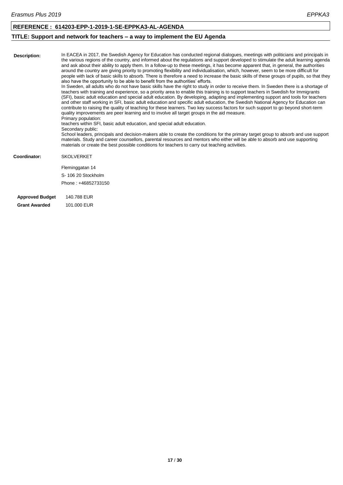#### **REFERENCE : 614203-EPP-1-2019-1-SE-EPPKA3-AL-AGENDA**

### <span id="page-17-0"></span>**TITLE: Support and network for teachers – a way to implement the EU Agenda**

| Description:           | In EACEA in 2017, the Swedish Agency for Education has conducted regional dialogues, meetings with politicians and principals in<br>the various regions of the country, and informed about the regulations and support developed to stimulate the adult learning agenda<br>and ask about their ability to apply them. In a follow-up to these meetings, it has become apparent that, in general, the authorities<br>around the country are giving priority to promoting flexibility and individualisation, which, however, seem to be more difficult for<br>people with lack of basic skills to absorb. There is therefore a need to increase the basic skills of these groups of pupils, so that they<br>also have the opportunity to be able to benefit from the authorities' efforts.<br>In Sweden, all adults who do not have basic skills have the right to study in order to receive them. In Sweden there is a shortage of<br>teachers with training and experience, so a priority area to enable this training is to support teachers in Swedish for Immigrants<br>(SFI), basic adult education and special adult education. By developing, adapting and implementing support and tools for teachers<br>and other staff working in SFI, basic adult education and specific adult education, the Swedish National Agency for Education can<br>contribute to raising the quality of teaching for these learners. Two key success factors for such support to go beyond short-term<br>quality improvements are peer learning and to involve all target groups in the aid measure.<br>Primary population:<br>teachers within SFI, basic adult education, and special adult education.<br>Secondary public:<br>School leaders, principals and decision-makers able to create the conditions for the primary target group to absorb and use support<br>materials. Study and career counsellors, parental resources and mentors who either will be able to absorb and use supporting<br>materials or create the best possible conditions for teachers to carry out teaching activities. |
|------------------------|------------------------------------------------------------------------------------------------------------------------------------------------------------------------------------------------------------------------------------------------------------------------------------------------------------------------------------------------------------------------------------------------------------------------------------------------------------------------------------------------------------------------------------------------------------------------------------------------------------------------------------------------------------------------------------------------------------------------------------------------------------------------------------------------------------------------------------------------------------------------------------------------------------------------------------------------------------------------------------------------------------------------------------------------------------------------------------------------------------------------------------------------------------------------------------------------------------------------------------------------------------------------------------------------------------------------------------------------------------------------------------------------------------------------------------------------------------------------------------------------------------------------------------------------------------------------------------------------------------------------------------------------------------------------------------------------------------------------------------------------------------------------------------------------------------------------------------------------------------------------------------------------------------------------------------------------------------------------------------------------------------------------------------------------------------------------------------------|
| Coordinator:           | <b>SKOLVERKET</b>                                                                                                                                                                                                                                                                                                                                                                                                                                                                                                                                                                                                                                                                                                                                                                                                                                                                                                                                                                                                                                                                                                                                                                                                                                                                                                                                                                                                                                                                                                                                                                                                                                                                                                                                                                                                                                                                                                                                                                                                                                                                        |
|                        | Fleminggatan 14                                                                                                                                                                                                                                                                                                                                                                                                                                                                                                                                                                                                                                                                                                                                                                                                                                                                                                                                                                                                                                                                                                                                                                                                                                                                                                                                                                                                                                                                                                                                                                                                                                                                                                                                                                                                                                                                                                                                                                                                                                                                          |
|                        | S-106 20 Stockholm                                                                                                                                                                                                                                                                                                                                                                                                                                                                                                                                                                                                                                                                                                                                                                                                                                                                                                                                                                                                                                                                                                                                                                                                                                                                                                                                                                                                                                                                                                                                                                                                                                                                                                                                                                                                                                                                                                                                                                                                                                                                       |
|                        | Phone: +46852733150                                                                                                                                                                                                                                                                                                                                                                                                                                                                                                                                                                                                                                                                                                                                                                                                                                                                                                                                                                                                                                                                                                                                                                                                                                                                                                                                                                                                                                                                                                                                                                                                                                                                                                                                                                                                                                                                                                                                                                                                                                                                      |
| <b>Approved Budget</b> | 140.788 EUR                                                                                                                                                                                                                                                                                                                                                                                                                                                                                                                                                                                                                                                                                                                                                                                                                                                                                                                                                                                                                                                                                                                                                                                                                                                                                                                                                                                                                                                                                                                                                                                                                                                                                                                                                                                                                                                                                                                                                                                                                                                                              |
| <b>Grant Awarded</b>   | 101,000 EUR                                                                                                                                                                                                                                                                                                                                                                                                                                                                                                                                                                                                                                                                                                                                                                                                                                                                                                                                                                                                                                                                                                                                                                                                                                                                                                                                                                                                                                                                                                                                                                                                                                                                                                                                                                                                                                                                                                                                                                                                                                                                              |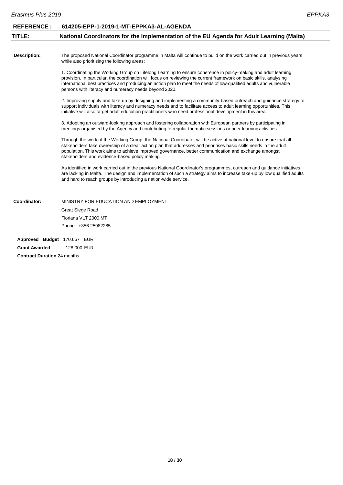<span id="page-18-0"></span>

| <b>REFERENCE:</b>           | 614205-EPP-1-2019-1-MT-EPPKA3-AL-AGENDA                                                                                                                                                                                                                                                                                                                                                                              |
|-----------------------------|----------------------------------------------------------------------------------------------------------------------------------------------------------------------------------------------------------------------------------------------------------------------------------------------------------------------------------------------------------------------------------------------------------------------|
| TITLE:                      | National Coordinators for the Implementation of the EU Agenda for Adult Learning (Malta)                                                                                                                                                                                                                                                                                                                             |
|                             |                                                                                                                                                                                                                                                                                                                                                                                                                      |
| <b>Description:</b>         | The proposed National Coordinator programme in Malta will continue to build on the work carried out in previous years<br>while also prioritising the following areas:                                                                                                                                                                                                                                                |
|                             | 1. Coordinating the Working Group on Lifelong Learning to ensure coherence in policy-making and adult learning<br>provision. In particular, the coordination will focus on reviewing the current framework on basic skills, analysing<br>international best practices and producing an action plan to meet the needs of low-qualified adults and vulnerable<br>persons with literacy and numeracy needs beyond 2020. |
|                             | 2. Improving supply and take-up by designing and implementing a community-based outreach and guidance strategy to<br>support individuals with literacy and numeracy needs and to facilitate access to adult learning opportunities. This<br>initiative will also target adult education practitioners who need professional development in this area.                                                                |
|                             | 3. Adopting an outward-looking approach and fostering collaboration with European partners by participating in<br>meetings organised by the Agency and contributing to regular thematic sessions or peer learning activities.                                                                                                                                                                                        |
|                             | Through the work of the Working Group, the National Coordinator will be active at national level to ensure that all<br>stakeholders take ownership of a clear action plan that addresses and prioritises basic skills needs in the adult<br>population. This work aims to achieve improved governance, better communication and exchange amongst<br>stakeholders and evidence-based policy making.                   |
|                             | As identified in work carried out in the previous National Coordinator's programmes, outreach and guidance initiatives<br>are lacking in Malta. The design and implementation of such a strategy aims to increase take-up by low qualified adults<br>and hard to reach groups by introducing a nation-wide service.                                                                                                  |
| Coordinator:                | MINISTRY FOR EDUCATION AND EMPLOYMENT                                                                                                                                                                                                                                                                                                                                                                                |
|                             | <b>Great Siege Road</b>                                                                                                                                                                                                                                                                                                                                                                                              |
|                             | Floriana VLT 2000, MT                                                                                                                                                                                                                                                                                                                                                                                                |
|                             | Phone: +356 25982285                                                                                                                                                                                                                                                                                                                                                                                                 |
| Approved Budget 170.667 EUR |                                                                                                                                                                                                                                                                                                                                                                                                                      |
| <b>Grant Awarded</b>        | 128.000 EUR                                                                                                                                                                                                                                                                                                                                                                                                          |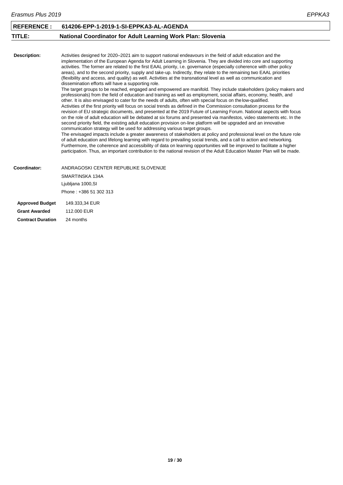<span id="page-19-0"></span>

| <b>REFERENCE:</b>      | 614206-EPP-1-2019-1-SI-EPPKA3-AL-AGENDA                                                                                                                                                                                                                                                                                                                                                                                                                                                                                                                                                                                                                                                                                                                                                                                                                                                                                                                                                                                                                                                                                                                                                                                                                                                                                                                                                                                                                                                                                                                                                                                                                                                                                                                                                                                                                                                                                                                                                                                                                                                                         |
|------------------------|-----------------------------------------------------------------------------------------------------------------------------------------------------------------------------------------------------------------------------------------------------------------------------------------------------------------------------------------------------------------------------------------------------------------------------------------------------------------------------------------------------------------------------------------------------------------------------------------------------------------------------------------------------------------------------------------------------------------------------------------------------------------------------------------------------------------------------------------------------------------------------------------------------------------------------------------------------------------------------------------------------------------------------------------------------------------------------------------------------------------------------------------------------------------------------------------------------------------------------------------------------------------------------------------------------------------------------------------------------------------------------------------------------------------------------------------------------------------------------------------------------------------------------------------------------------------------------------------------------------------------------------------------------------------------------------------------------------------------------------------------------------------------------------------------------------------------------------------------------------------------------------------------------------------------------------------------------------------------------------------------------------------------------------------------------------------------------------------------------------------|
| TITLE:                 | National Coordinator for Adult Learning Work Plan: Slovenia                                                                                                                                                                                                                                                                                                                                                                                                                                                                                                                                                                                                                                                                                                                                                                                                                                                                                                                                                                                                                                                                                                                                                                                                                                                                                                                                                                                                                                                                                                                                                                                                                                                                                                                                                                                                                                                                                                                                                                                                                                                     |
|                        |                                                                                                                                                                                                                                                                                                                                                                                                                                                                                                                                                                                                                                                                                                                                                                                                                                                                                                                                                                                                                                                                                                                                                                                                                                                                                                                                                                                                                                                                                                                                                                                                                                                                                                                                                                                                                                                                                                                                                                                                                                                                                                                 |
| <b>Description:</b>    | Activities designed for 2020–2021 aim to support national endeavours in the field of adult education and the<br>implementation of the European Agenda for Adult Learning in Slovenia. They are divided into core and supporting<br>activities. The former are related to the first EAAL priority, i.e. governance (especially coherence with other policy<br>areas), and to the second priority, supply and take-up. Indirectly, they relate to the remaining two EAAL priorities<br>(flexibility and access, and quality) as well. Activities at the transnational level as well as communication and<br>dissemination efforts will have a supporting role.<br>The target groups to be reached, engaged and empowered are manifold. They include stakeholders (policy makers and<br>professionals) from the field of education and training as well as employment, social affairs, economy, health, and<br>other. It is also envisaged to cater for the needs of adults, often with special focus on the low-qualified.<br>Activities of the first priority will focus on social trends as defined in the Commission consultation process for the<br>revision of EU strategic documents, and presented at the 2019 Future of Learning Forum. National aspects with focus<br>on the role of adult education will be debated at six forums and presented via manifestos, video statements etc. In the<br>second priority field, the existing adult education provision on-line platform will be upgraded and an innovative<br>communication strategy will be used for addressing various target groups.<br>The envisaged impacts include a greater awareness of stakeholders at policy and professional level on the future role<br>of adult education and lifelong learning with regard to prevailing social trends, and a call to action and networking.<br>Furthermore, the coherence and accessibility of data on learning opportunities will be improved to facilitate a higher<br>participation. Thus, an important contribution to the national revision of the Adult Education Master Plan will be made. |
| Coordinator:           | ANDRAGOSKI CENTER REPUBLIKE SLOVENIJE                                                                                                                                                                                                                                                                                                                                                                                                                                                                                                                                                                                                                                                                                                                                                                                                                                                                                                                                                                                                                                                                                                                                                                                                                                                                                                                                                                                                                                                                                                                                                                                                                                                                                                                                                                                                                                                                                                                                                                                                                                                                           |
|                        | SMARTINSKA 134A                                                                                                                                                                                                                                                                                                                                                                                                                                                                                                                                                                                                                                                                                                                                                                                                                                                                                                                                                                                                                                                                                                                                                                                                                                                                                                                                                                                                                                                                                                                                                                                                                                                                                                                                                                                                                                                                                                                                                                                                                                                                                                 |
|                        | Ljubljana 1000, SI                                                                                                                                                                                                                                                                                                                                                                                                                                                                                                                                                                                                                                                                                                                                                                                                                                                                                                                                                                                                                                                                                                                                                                                                                                                                                                                                                                                                                                                                                                                                                                                                                                                                                                                                                                                                                                                                                                                                                                                                                                                                                              |
|                        | Phone: +386 51 302 313                                                                                                                                                                                                                                                                                                                                                                                                                                                                                                                                                                                                                                                                                                                                                                                                                                                                                                                                                                                                                                                                                                                                                                                                                                                                                                                                                                                                                                                                                                                                                                                                                                                                                                                                                                                                                                                                                                                                                                                                                                                                                          |
| <b>Approved Budget</b> | 149.333,34 EUR                                                                                                                                                                                                                                                                                                                                                                                                                                                                                                                                                                                                                                                                                                                                                                                                                                                                                                                                                                                                                                                                                                                                                                                                                                                                                                                                                                                                                                                                                                                                                                                                                                                                                                                                                                                                                                                                                                                                                                                                                                                                                                  |
| <b>Grant Awarded</b>   | 112,000 EUR                                                                                                                                                                                                                                                                                                                                                                                                                                                                                                                                                                                                                                                                                                                                                                                                                                                                                                                                                                                                                                                                                                                                                                                                                                                                                                                                                                                                                                                                                                                                                                                                                                                                                                                                                                                                                                                                                                                                                                                                                                                                                                     |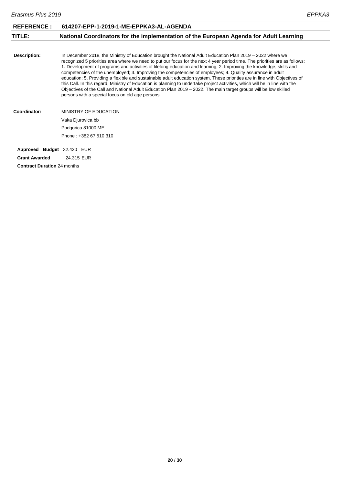<span id="page-20-0"></span>

| <b>REFERENCE:</b>                  | 614207-EPP-1-2019-1-ME-EPPKA3-AL-AGENDA                                                                                                                                                                                                                                                                                                                                                                                                                                                                                                                                                                                                                                                                                                                                                                                                                                                                              |
|------------------------------------|----------------------------------------------------------------------------------------------------------------------------------------------------------------------------------------------------------------------------------------------------------------------------------------------------------------------------------------------------------------------------------------------------------------------------------------------------------------------------------------------------------------------------------------------------------------------------------------------------------------------------------------------------------------------------------------------------------------------------------------------------------------------------------------------------------------------------------------------------------------------------------------------------------------------|
| TITLE:                             | National Coordinators for the implementation of the European Agenda for Adult Learning                                                                                                                                                                                                                                                                                                                                                                                                                                                                                                                                                                                                                                                                                                                                                                                                                               |
|                                    |                                                                                                                                                                                                                                                                                                                                                                                                                                                                                                                                                                                                                                                                                                                                                                                                                                                                                                                      |
| Description:                       | In December 2018, the Ministry of Education brought the National Adult Education Plan 2019 – 2022 where we<br>recognized 5 priorities area where we need to put our focus for the next 4 year period time. The priorities are as follows:<br>1. Development of programs and activities of lifelong education and learning; 2. Improving the knowledge, skills and<br>competencies of the unemployed; 3. Improving the competencies of employees; 4. Quality assurance in adult<br>education; 5. Providing a flexible and sustainable adult education system. These priorities are in line with Objectives of<br>this Call. In this regard, Ministry of Education is planning to undertake project activities, which will be in line with the<br>Objectives of the Call and National Adult Education Plan 2019 – 2022. The main target groups will be low skilled<br>persons with a special focus on old age persons. |
| Coordinator:                       | MINISTRY OF EDUCATION                                                                                                                                                                                                                                                                                                                                                                                                                                                                                                                                                                                                                                                                                                                                                                                                                                                                                                |
|                                    | Vaka Djurovica bb                                                                                                                                                                                                                                                                                                                                                                                                                                                                                                                                                                                                                                                                                                                                                                                                                                                                                                    |
|                                    | Podgorica 81000, ME                                                                                                                                                                                                                                                                                                                                                                                                                                                                                                                                                                                                                                                                                                                                                                                                                                                                                                  |
|                                    | Phone: +382 67 510 310                                                                                                                                                                                                                                                                                                                                                                                                                                                                                                                                                                                                                                                                                                                                                                                                                                                                                               |
| Approved Budget 32.420 EUR         |                                                                                                                                                                                                                                                                                                                                                                                                                                                                                                                                                                                                                                                                                                                                                                                                                                                                                                                      |
| <b>Grant Awarded</b>               | 24.315 EUR                                                                                                                                                                                                                                                                                                                                                                                                                                                                                                                                                                                                                                                                                                                                                                                                                                                                                                           |
| <b>Contract Duration 24 months</b> |                                                                                                                                                                                                                                                                                                                                                                                                                                                                                                                                                                                                                                                                                                                                                                                                                                                                                                                      |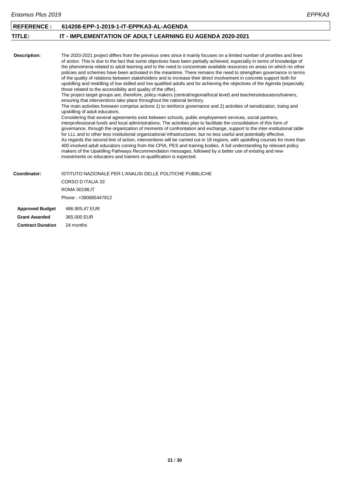<span id="page-21-0"></span>

| <b>REFERENCE:</b>      | 614208-EPP-1-2019-1-IT-EPPKA3-AL-AGENDA                                                                                                                                                                                                                                                                                                                                                                                                                                                                                                                                                                                                                                                                                                                                                                                                                                                                                                                                                                                                                                                                                                                                                                                                                                                                                                                                                                                                                                                                                                                                                                                                                                                                                                                                                                                                                                                                                                                                                                                                                                                                                                 |
|------------------------|-----------------------------------------------------------------------------------------------------------------------------------------------------------------------------------------------------------------------------------------------------------------------------------------------------------------------------------------------------------------------------------------------------------------------------------------------------------------------------------------------------------------------------------------------------------------------------------------------------------------------------------------------------------------------------------------------------------------------------------------------------------------------------------------------------------------------------------------------------------------------------------------------------------------------------------------------------------------------------------------------------------------------------------------------------------------------------------------------------------------------------------------------------------------------------------------------------------------------------------------------------------------------------------------------------------------------------------------------------------------------------------------------------------------------------------------------------------------------------------------------------------------------------------------------------------------------------------------------------------------------------------------------------------------------------------------------------------------------------------------------------------------------------------------------------------------------------------------------------------------------------------------------------------------------------------------------------------------------------------------------------------------------------------------------------------------------------------------------------------------------------------------|
| TITLE:                 | <b>IT - IMPLEMENTATION OF ADULT LEARNING EU AGENDA 2020-2021</b>                                                                                                                                                                                                                                                                                                                                                                                                                                                                                                                                                                                                                                                                                                                                                                                                                                                                                                                                                                                                                                                                                                                                                                                                                                                                                                                                                                                                                                                                                                                                                                                                                                                                                                                                                                                                                                                                                                                                                                                                                                                                        |
|                        |                                                                                                                                                                                                                                                                                                                                                                                                                                                                                                                                                                                                                                                                                                                                                                                                                                                                                                                                                                                                                                                                                                                                                                                                                                                                                                                                                                                                                                                                                                                                                                                                                                                                                                                                                                                                                                                                                                                                                                                                                                                                                                                                         |
| <b>Description:</b>    | The 2020-2021 project differs from the previous ones since it mainly focuses on a limited number of priorities and lines<br>of action. This is due to the fact that some objectives have been partially achieved, especially in terms of knowledge of<br>the phenomena related to adult learning and to the need to concentrate available resources on areas on which no other<br>policies and schemes have been activated in the meantime. There remains the need to strengthen governance in terms<br>of the quality of relations between stakeholders and to increase their direct involvement in concrete support both for<br>upskilling and reskilling of low skilled and low qualified adults and for achieving the objectives of the Agenda (especially<br>those related to the accessibility and quality of the offer).<br>The project target groups are, therefore, policy makers (central/regional/local level) and teachers/educators/trainers,<br>ensuring that interventions take place throughout the national territory.<br>The main activities foreseen comprise actions 1) to reinforce governance and 2) activities of sensitization, traing and<br>upskilling of adult educators.<br>Considering that several agreements exist between schools, public employement services, social partners,<br>interprofessional funds and local administrations, The activities plan to facilitate the consolidation of this form of<br>governance, through the organization of moments of confrontation and exchange, support to the inter-institutional table<br>for LLL and to other less institutional organizational infrastructures, but no less useful and potentially effective.<br>As regards the second line of action, interventions will be carried out in 18 regions, with upskilling courses for more than<br>400 involved adult educators coming from the CPIA, PES and training bodies. A full understanding by relevant policy<br>makers of the Upskilling Pathways Recommendation messages, followed by a better use of existing and new<br>investments on educators and trainers re-qualification is expected. |
| Coordinator:           | <b>ISTITUTO NAZIONALE PER L'ANALISI DELLE POLITICHE PUBBLICHE</b>                                                                                                                                                                                                                                                                                                                                                                                                                                                                                                                                                                                                                                                                                                                                                                                                                                                                                                                                                                                                                                                                                                                                                                                                                                                                                                                                                                                                                                                                                                                                                                                                                                                                                                                                                                                                                                                                                                                                                                                                                                                                       |
|                        | CORSO D ITALIA 33                                                                                                                                                                                                                                                                                                                                                                                                                                                                                                                                                                                                                                                                                                                                                                                                                                                                                                                                                                                                                                                                                                                                                                                                                                                                                                                                                                                                                                                                                                                                                                                                                                                                                                                                                                                                                                                                                                                                                                                                                                                                                                                       |
|                        | ROMA 00198, IT                                                                                                                                                                                                                                                                                                                                                                                                                                                                                                                                                                                                                                                                                                                                                                                                                                                                                                                                                                                                                                                                                                                                                                                                                                                                                                                                                                                                                                                                                                                                                                                                                                                                                                                                                                                                                                                                                                                                                                                                                                                                                                                          |
|                        | Phone: +390685447812                                                                                                                                                                                                                                                                                                                                                                                                                                                                                                                                                                                                                                                                                                                                                                                                                                                                                                                                                                                                                                                                                                                                                                                                                                                                                                                                                                                                                                                                                                                                                                                                                                                                                                                                                                                                                                                                                                                                                                                                                                                                                                                    |
| <b>Approved Budget</b> | 486.905,47 EUR                                                                                                                                                                                                                                                                                                                                                                                                                                                                                                                                                                                                                                                                                                                                                                                                                                                                                                                                                                                                                                                                                                                                                                                                                                                                                                                                                                                                                                                                                                                                                                                                                                                                                                                                                                                                                                                                                                                                                                                                                                                                                                                          |
| <b>Grant Awarded</b>   | 365,000 EUR                                                                                                                                                                                                                                                                                                                                                                                                                                                                                                                                                                                                                                                                                                                                                                                                                                                                                                                                                                                                                                                                                                                                                                                                                                                                                                                                                                                                                                                                                                                                                                                                                                                                                                                                                                                                                                                                                                                                                                                                                                                                                                                             |
|                        |                                                                                                                                                                                                                                                                                                                                                                                                                                                                                                                                                                                                                                                                                                                                                                                                                                                                                                                                                                                                                                                                                                                                                                                                                                                                                                                                                                                                                                                                                                                                                                                                                                                                                                                                                                                                                                                                                                                                                                                                                                                                                                                                         |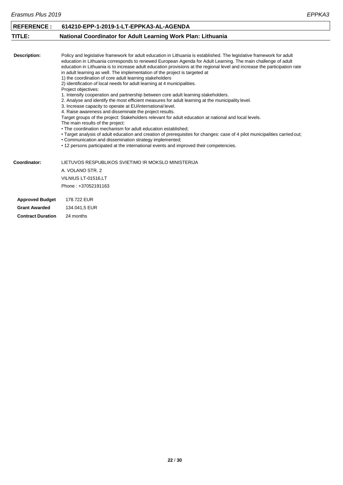<span id="page-22-0"></span>

| <b>REFERENCE:</b>       | 614210-EPP-1-2019-1-LT-EPPKA3-AL-AGENDA                                                                                                                                                                                                                                                                                                                                                                                                                                                                                                                                                                                                                                                                                                                                                                                                                                                                                                                                                                                                                                                                                                                                                                                                                                                                                                                                                                                                 |
|-------------------------|-----------------------------------------------------------------------------------------------------------------------------------------------------------------------------------------------------------------------------------------------------------------------------------------------------------------------------------------------------------------------------------------------------------------------------------------------------------------------------------------------------------------------------------------------------------------------------------------------------------------------------------------------------------------------------------------------------------------------------------------------------------------------------------------------------------------------------------------------------------------------------------------------------------------------------------------------------------------------------------------------------------------------------------------------------------------------------------------------------------------------------------------------------------------------------------------------------------------------------------------------------------------------------------------------------------------------------------------------------------------------------------------------------------------------------------------|
| TITLE:                  | National Coordinator for Adult Learning Work Plan: Lithuania                                                                                                                                                                                                                                                                                                                                                                                                                                                                                                                                                                                                                                                                                                                                                                                                                                                                                                                                                                                                                                                                                                                                                                                                                                                                                                                                                                            |
|                         |                                                                                                                                                                                                                                                                                                                                                                                                                                                                                                                                                                                                                                                                                                                                                                                                                                                                                                                                                                                                                                                                                                                                                                                                                                                                                                                                                                                                                                         |
| <b>Description:</b>     | Policy and legislative framework for adult education in Lithuania is established. The legislative framework for adult<br>education in Lithuania corresponds to renewed European Agenda for Adult Learning. The main challenge of adult<br>education in Lithuania is to increase adult education provisions at the regional level and increase the participation rate<br>in adult learning as well. The implementation of the project is targeted at<br>1) the coordination of core adult learning stakeholders<br>2) identification of local needs for adult learning at 4 municipalities.<br>Project objectives:<br>1. Intensify cooperation and partnership between core adult learning stakeholders.<br>2. Analyse and identify the most efficient measures for adult learning at the municipality level.<br>3. Increase capacity to operate at EU/international level.<br>4. Raise awareness and disseminate the project results.<br>Target groups of the project: Stakeholders relevant for adult education at national and local levels.<br>The main results of the project:<br>• The coordination mechanism for adult education established;<br>• Target analysis of adult education and creation of prerequisites for changes: case of 4 pilot municipalities carried out;<br>• Communication and dissemination strategy implemented;<br>• 12 persons participated at the international events and improved their competencies. |
| Coordinator:            | LIETUVOS RESPUBLIKOS SVIETIMO IR MOKSLO MINISTERIJA                                                                                                                                                                                                                                                                                                                                                                                                                                                                                                                                                                                                                                                                                                                                                                                                                                                                                                                                                                                                                                                                                                                                                                                                                                                                                                                                                                                     |
|                         | A. VOLANO STR. 2                                                                                                                                                                                                                                                                                                                                                                                                                                                                                                                                                                                                                                                                                                                                                                                                                                                                                                                                                                                                                                                                                                                                                                                                                                                                                                                                                                                                                        |
|                         | VILNIUS LT-01516,LT                                                                                                                                                                                                                                                                                                                                                                                                                                                                                                                                                                                                                                                                                                                                                                                                                                                                                                                                                                                                                                                                                                                                                                                                                                                                                                                                                                                                                     |
|                         | Phone: +37052191163                                                                                                                                                                                                                                                                                                                                                                                                                                                                                                                                                                                                                                                                                                                                                                                                                                                                                                                                                                                                                                                                                                                                                                                                                                                                                                                                                                                                                     |
| <b>Approved Budget</b>  | 178.722 EUR                                                                                                                                                                                                                                                                                                                                                                                                                                                                                                                                                                                                                                                                                                                                                                                                                                                                                                                                                                                                                                                                                                                                                                                                                                                                                                                                                                                                                             |
| Andrea Arrivald and The | $\sqrt{2}$                                                                                                                                                                                                                                                                                                                                                                                                                                                                                                                                                                                                                                                                                                                                                                                                                                                                                                                                                                                                                                                                                                                                                                                                                                                                                                                                                                                                                              |

**Grant Awarded** 134.041,5 EUR **Contract Duration** 24 months

**22** / **30**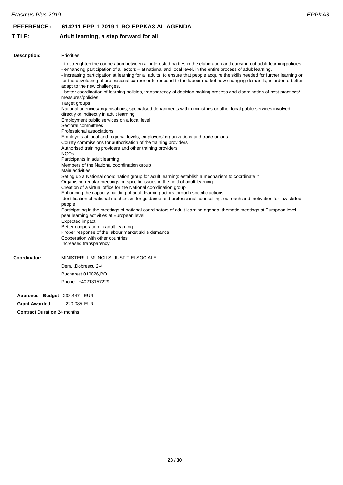#### **REFERENCE : 614211-EPP-1-2019-1-RO-EPPKA3-AL-AGENDA**

#### <span id="page-23-0"></span>**TITLE: Adult learning, a step forward for all**

| Description:        | <b>Priorities</b>                                                                                                                                                                                                                                                                                                                                                                                                                                                                                                                                                                                                                                                                                            |
|---------------------|--------------------------------------------------------------------------------------------------------------------------------------------------------------------------------------------------------------------------------------------------------------------------------------------------------------------------------------------------------------------------------------------------------------------------------------------------------------------------------------------------------------------------------------------------------------------------------------------------------------------------------------------------------------------------------------------------------------|
|                     | - to strenghten the cooperation between all interested parties in the elaboration and carrying out adult learning policies,<br>- enhancing participation of all actors – at national and local level, in the entire process of adult learning,<br>- increasing participation at learning for all adults: to ensure that people acquire the skills needed for further learning or<br>for the developing of professional carreer or to respond to the labour market new changing demands, in order to better<br>adapt to the new challenges,<br>- better coordination of learning policies, transparency of decision making process and disamination of best practices/<br>measures/policies.<br>Target groups |
|                     | National agencies/organisations, specialised departments within ministries or other local public services involved<br>directly or indirectly in adult learning<br>Employment public services on a local level<br>Sectoral committees                                                                                                                                                                                                                                                                                                                                                                                                                                                                         |
|                     | Professional associations<br>Employers at local and regional levels, employers' organizations and trade unions<br>County commissions for authorisation of the training providers                                                                                                                                                                                                                                                                                                                                                                                                                                                                                                                             |
|                     | Authorised training providers and other training providers<br><b>NGOs</b><br>Participants in adult learning<br>Members of the National coordination group                                                                                                                                                                                                                                                                                                                                                                                                                                                                                                                                                    |
|                     | Main activities<br>Seting up a National coordination group for adult learning; establish a mechanism to coordinate it<br>Organising regular meetings on specific issues in the field of adult learning<br>Creation of a virtual office for the National coordination group                                                                                                                                                                                                                                                                                                                                                                                                                                   |
|                     | Enhancing the capacity building of adult learning actors through specific actions<br>Identification of national mechanism for guidance and professional counselling, outreach and motivation for low skilled<br>people<br>Participating in the meetings of national coordinators of adult learning agenda, thematic meetings at European level,                                                                                                                                                                                                                                                                                                                                                              |
|                     | pear learning activities at European level<br>Expected impact<br>Better cooperation in adult learning<br>Proper response of the labour market skills demands<br>Cooperation with other countries<br>Increased transparency                                                                                                                                                                                                                                                                                                                                                                                                                                                                                   |
| <b>Coordinator:</b> | MINISTERUL MUNCII SI JUSTITIEI SOCIALE                                                                                                                                                                                                                                                                                                                                                                                                                                                                                                                                                                                                                                                                       |
|                     | Dem.I.Dobrescu 2-4                                                                                                                                                                                                                                                                                                                                                                                                                                                                                                                                                                                                                                                                                           |
|                     | Bucharest 010026,RO                                                                                                                                                                                                                                                                                                                                                                                                                                                                                                                                                                                                                                                                                          |
|                     | Phone: +40213157229                                                                                                                                                                                                                                                                                                                                                                                                                                                                                                                                                                                                                                                                                          |

**Approved Budget** 293.447 EUR **Grant Awarded** 220.085 EUR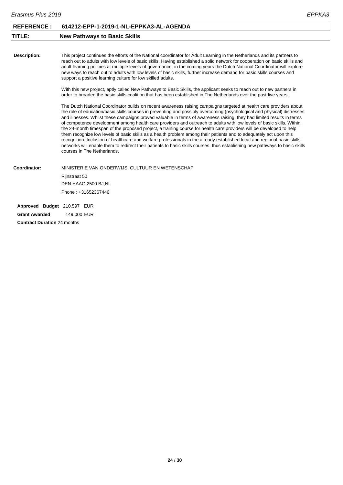### <span id="page-24-0"></span>**TITLE: New Pathways to Basic Skills**

**Description:**

This project continues the efforts of the National coordinator for Adult Learning in the Netherlands and its partners to reach out to adults with low levels of basic skills. Having established a solid network for cooperation on basic skills and adult learning policies at multiple levels of governance, in the coming years the Dutch National Coordinator will explore new ways to reach out to adults with low levels of basic skills, further increase demand for basic skills courses and support a positive learning culture for low skilled adults.

With this new project, aptly called New Pathways to Basic Skills, the applicant seeks to reach out to new partners in order to broaden the basic skills coalition that has been established in The Netherlands over the past five years.

The Dutch National Coordinator builds on recent awareness raising campaigns targeted at health care providers about the role of education/basic skills courses in preventing and possibly overcoming (psychological and physical) distresses and illnesses. Whilst these campaigns proved valuable in terms of awareness raising, they had limited results in terms of competence development among health care providers and outreach to adults with low levels of basic skills. Within the 24-month timespan of the proposed project, a training course for health care providers will be developed to help them recognize low levels of basic skills as a health problem among their patients and to adequately act upon this recognition. Inclusion of healthcare and welfare professionals in the already established local and regional basic skills networks will enable them to redirect their patients to basic skills courses, thus establishing new pathways to basic skills courses in The Netherlands.

**Coordinator:** MINISTERIE VAN ONDERWIJS, CULTUUR EN WETENSCHAP Rijnstraat 50 DEN HAAG 2500 BJ,NL Phone : +31652367446

**Approved Budget** 210.597 EUR **Grant Awarded** 149.000 EUR **Contract Duration** 24 months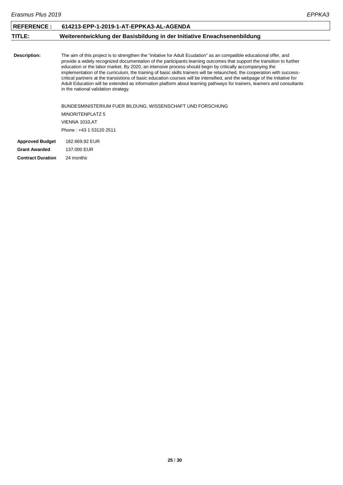<span id="page-25-0"></span>

| <b>REFERENCE:</b>        | 614213-EPP-1-2019-1-AT-EPPKA3-AL-AGENDA                                                                                                                                                                                                                                                                                                                                                                                                                                                                                                                                                                                                                                                                                                                                                  |
|--------------------------|------------------------------------------------------------------------------------------------------------------------------------------------------------------------------------------------------------------------------------------------------------------------------------------------------------------------------------------------------------------------------------------------------------------------------------------------------------------------------------------------------------------------------------------------------------------------------------------------------------------------------------------------------------------------------------------------------------------------------------------------------------------------------------------|
| TITLE:                   | Weiterentwicklung der Basisbildung in der Initiative Erwachsenenbildung                                                                                                                                                                                                                                                                                                                                                                                                                                                                                                                                                                                                                                                                                                                  |
|                          |                                                                                                                                                                                                                                                                                                                                                                                                                                                                                                                                                                                                                                                                                                                                                                                          |
| Description:             | The aim of this project is to strengthen the "initative for Adult Ecudation" as an compatible educational offer, and<br>provide a widely recognized documentation of the participants learning outcomes that support the transition to further<br>education or the labor market. By 2020, an intensive process should begin by critically accompanying the<br>implementation of the curriculum, the training of basic skills trainers will be relaunched, the cooperation with success-<br>critical partners at the transistions of basic education courses will be intensified, and the webpage of the Initative for<br>Adult Education will be extended as information platform about learning pathways for trainers, learners and consultants<br>in the national validation strategy. |
|                          | BUNDESMINISTERIUM FUER BILDUNG, WISSENSCHAFT UND FORSCHUNG                                                                                                                                                                                                                                                                                                                                                                                                                                                                                                                                                                                                                                                                                                                               |
|                          | MINORITENPLATZ 5                                                                                                                                                                                                                                                                                                                                                                                                                                                                                                                                                                                                                                                                                                                                                                         |
|                          | VIENNA 1010, AT                                                                                                                                                                                                                                                                                                                                                                                                                                                                                                                                                                                                                                                                                                                                                                          |
|                          | Phone: +43 1 53120 2511                                                                                                                                                                                                                                                                                                                                                                                                                                                                                                                                                                                                                                                                                                                                                                  |
| <b>Approved Budget</b>   | 182.669,92 EUR                                                                                                                                                                                                                                                                                                                                                                                                                                                                                                                                                                                                                                                                                                                                                                           |
| <b>Grant Awarded</b>     | 137,000 EUR                                                                                                                                                                                                                                                                                                                                                                                                                                                                                                                                                                                                                                                                                                                                                                              |
| <b>Contract Duration</b> | 24 months                                                                                                                                                                                                                                                                                                                                                                                                                                                                                                                                                                                                                                                                                                                                                                                |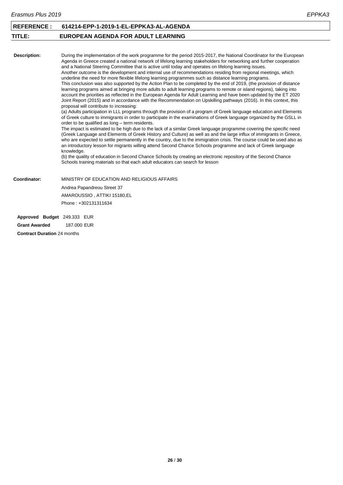<span id="page-26-0"></span>

| <b>REFERENCE:</b>           | 614214-EPP-1-2019-1-EL-EPPKA3-AL-AGENDA                                                                                                                                                                                                                                                                                                                                                                                                                                                                                                                                                                                                                                                                                                                                                                                                                                                                                                                                                                                                                                                                                                                                                                                                                                                                                                                                                                                                                                                                                                                                                                                                                                                                                                                                                                                                                                                                                                                                                                                                                                                                                               |
|-----------------------------|---------------------------------------------------------------------------------------------------------------------------------------------------------------------------------------------------------------------------------------------------------------------------------------------------------------------------------------------------------------------------------------------------------------------------------------------------------------------------------------------------------------------------------------------------------------------------------------------------------------------------------------------------------------------------------------------------------------------------------------------------------------------------------------------------------------------------------------------------------------------------------------------------------------------------------------------------------------------------------------------------------------------------------------------------------------------------------------------------------------------------------------------------------------------------------------------------------------------------------------------------------------------------------------------------------------------------------------------------------------------------------------------------------------------------------------------------------------------------------------------------------------------------------------------------------------------------------------------------------------------------------------------------------------------------------------------------------------------------------------------------------------------------------------------------------------------------------------------------------------------------------------------------------------------------------------------------------------------------------------------------------------------------------------------------------------------------------------------------------------------------------------|
| TITLE:                      | EUROPEAN AGENDA FOR ADULT LEARNING                                                                                                                                                                                                                                                                                                                                                                                                                                                                                                                                                                                                                                                                                                                                                                                                                                                                                                                                                                                                                                                                                                                                                                                                                                                                                                                                                                                                                                                                                                                                                                                                                                                                                                                                                                                                                                                                                                                                                                                                                                                                                                    |
|                             |                                                                                                                                                                                                                                                                                                                                                                                                                                                                                                                                                                                                                                                                                                                                                                                                                                                                                                                                                                                                                                                                                                                                                                                                                                                                                                                                                                                                                                                                                                                                                                                                                                                                                                                                                                                                                                                                                                                                                                                                                                                                                                                                       |
| <b>Description:</b>         | During the implementation of the work programme for the period 2015-2017, the National Coordinator for the European<br>Agenda in Greece created a national network of lifelong learning stakeholders for networking and further cooperation<br>and a National Steering Committee that is active until today and operates on lifelong learning issues.<br>Another outcome is the development and internal use of recommendations residing from regional meetings, which<br>underline the need for more flexible lifelong learning programmes such as distance learning programs.<br>This conclusion was also supported by the Action Plan to be completed by the end of 2019, (the provision of distance<br>learning programs aimed at bringing more adults to adult learning programs to remote or island regions), taking into<br>account the priorities as reflected in the European Agenda for Adult Learning and have been updated by the ET 2020<br>Joint Report (2015) and in accordance with the Recommendation on Upskilling pathways (2016). In this context, this<br>proposal will contribute to increasing:<br>(a) Adults participation in LLL programs through the provision of a program of Greek language education and Elements<br>of Greek culture to immigrants in order to participate in the examinations of Greek language organized by the GSLL in<br>order to be qualified as long - term residents.<br>The impact is estimated to be high due to the lack of a similar Greek language programme covering the specific need<br>(Greek Language and Elements of Greek History and Culture) as well as and the large influx of immigrants in Greece,<br>who are expected to settle permanently in the country, due to the immigration crisis. The course could be used also as<br>an introductory lesson for migrants willing attend Second Chance Schools programme and lack of Greek language<br>knowledge.<br>(b) the quality of education in Second Chance Schools by creating an electronic repository of the Second Chance<br>Schools training materials so that each adult educators can search for lesson |
| Coordinator:                | MINISTRY OF EDUCATION AND RELIGIOUS AFFAIRS                                                                                                                                                                                                                                                                                                                                                                                                                                                                                                                                                                                                                                                                                                                                                                                                                                                                                                                                                                                                                                                                                                                                                                                                                                                                                                                                                                                                                                                                                                                                                                                                                                                                                                                                                                                                                                                                                                                                                                                                                                                                                           |
|                             | Andrea Papandreou Street 37                                                                                                                                                                                                                                                                                                                                                                                                                                                                                                                                                                                                                                                                                                                                                                                                                                                                                                                                                                                                                                                                                                                                                                                                                                                                                                                                                                                                                                                                                                                                                                                                                                                                                                                                                                                                                                                                                                                                                                                                                                                                                                           |
|                             | AMAROUSSIO, ATTIKI 15180,EL                                                                                                                                                                                                                                                                                                                                                                                                                                                                                                                                                                                                                                                                                                                                                                                                                                                                                                                                                                                                                                                                                                                                                                                                                                                                                                                                                                                                                                                                                                                                                                                                                                                                                                                                                                                                                                                                                                                                                                                                                                                                                                           |
|                             | Phone: +302131311634                                                                                                                                                                                                                                                                                                                                                                                                                                                                                                                                                                                                                                                                                                                                                                                                                                                                                                                                                                                                                                                                                                                                                                                                                                                                                                                                                                                                                                                                                                                                                                                                                                                                                                                                                                                                                                                                                                                                                                                                                                                                                                                  |
| Approved Budget 249.333 EUR |                                                                                                                                                                                                                                                                                                                                                                                                                                                                                                                                                                                                                                                                                                                                                                                                                                                                                                                                                                                                                                                                                                                                                                                                                                                                                                                                                                                                                                                                                                                                                                                                                                                                                                                                                                                                                                                                                                                                                                                                                                                                                                                                       |

**Grant Awarded** 187.000 EUR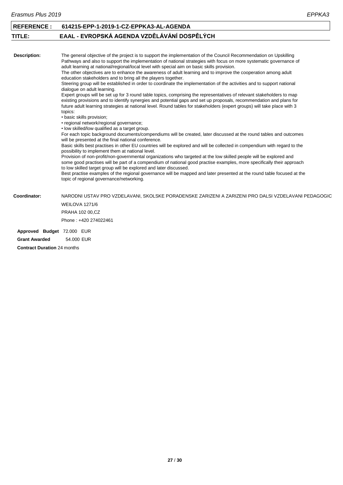<span id="page-27-0"></span>

| <b>REFERENCE:</b>          | 614215-EPP-1-2019-1-CZ-EPPKA3-AL-AGENDA                                                                                                                                                                                                                                                                                                                                                                                                                                                                                                                                                                                                                                                                                                                                                                                                                                                                                                                                                                                                                                                                                                                                                                                                                                                                                                                                                                                                                                                                                                                                                                                                                                                                                                                                                                                                                                                                                                                                                                                                                    |
|----------------------------|------------------------------------------------------------------------------------------------------------------------------------------------------------------------------------------------------------------------------------------------------------------------------------------------------------------------------------------------------------------------------------------------------------------------------------------------------------------------------------------------------------------------------------------------------------------------------------------------------------------------------------------------------------------------------------------------------------------------------------------------------------------------------------------------------------------------------------------------------------------------------------------------------------------------------------------------------------------------------------------------------------------------------------------------------------------------------------------------------------------------------------------------------------------------------------------------------------------------------------------------------------------------------------------------------------------------------------------------------------------------------------------------------------------------------------------------------------------------------------------------------------------------------------------------------------------------------------------------------------------------------------------------------------------------------------------------------------------------------------------------------------------------------------------------------------------------------------------------------------------------------------------------------------------------------------------------------------------------------------------------------------------------------------------------------------|
| TITLE:                     | EAAL - EVROPSKÁ AGENDA VZDĚLÁVÁNÍ DOSPĚLÝCH                                                                                                                                                                                                                                                                                                                                                                                                                                                                                                                                                                                                                                                                                                                                                                                                                                                                                                                                                                                                                                                                                                                                                                                                                                                                                                                                                                                                                                                                                                                                                                                                                                                                                                                                                                                                                                                                                                                                                                                                                |
|                            |                                                                                                                                                                                                                                                                                                                                                                                                                                                                                                                                                                                                                                                                                                                                                                                                                                                                                                                                                                                                                                                                                                                                                                                                                                                                                                                                                                                                                                                                                                                                                                                                                                                                                                                                                                                                                                                                                                                                                                                                                                                            |
| Description:               | The general objective of the project is to support the implementation of the Council Recommendation on Upskilling<br>Pathways and also to support the implementation of national strategies with focus on more systematic governance of<br>adult learning at national/regional/local level with special aim on basic skills provision.<br>The other objectives are to enhance the awareness of adult learning and to improve the cooperation among adult<br>education stakeholders and to bring all the players together.<br>Steering group will be established in order to coordinate the implementation of the activities and to support national<br>dialogue on adult learning.<br>Expert groups will be set up for 3 round table topics, comprising the representatives of relevant stakeholders to map<br>existing provisions and to identify synergies and potential gaps and set up proposals, recommendation and plans for<br>future adult learning strategies at national level. Round tables for stakeholders (expert groups) will take place with 3<br>topics:<br>• basic skills provision;<br>• regional network/regional governance;<br>• low skilled/low qualified as a target group.<br>For each topic background documents/compendiums will be created, later discussed at the round tables and outcomes<br>will be presented at the final national conference.<br>Basic skills best practises in other EU countries will be explored and will be collected in compendium with regard to the<br>possibility to implement them at national level.<br>Provision of non-profit/non-governmental organizations who targeted at the low skilled people will be explored and<br>some good practises will be part of a compendium of national good practise examples, more specifically their approach<br>to low skilled target group will be explored and later discussed.<br>Best practise examples of the regional governance will be mapped and later presented at the round table focused at the<br>topic of regional governance/networking. |
| Coordinator:               | NARODNI USTAV PRO VZDELAVANI, SKOLSKE PORADENSKE ZARIZENI A ZARIZENI PRO DALSI VZDELAVANI PEDAGOGIC                                                                                                                                                                                                                                                                                                                                                                                                                                                                                                                                                                                                                                                                                                                                                                                                                                                                                                                                                                                                                                                                                                                                                                                                                                                                                                                                                                                                                                                                                                                                                                                                                                                                                                                                                                                                                                                                                                                                                        |
|                            | WEILOVA 1271/6                                                                                                                                                                                                                                                                                                                                                                                                                                                                                                                                                                                                                                                                                                                                                                                                                                                                                                                                                                                                                                                                                                                                                                                                                                                                                                                                                                                                                                                                                                                                                                                                                                                                                                                                                                                                                                                                                                                                                                                                                                             |
|                            | <b>PRAHA 102 00,CZ</b>                                                                                                                                                                                                                                                                                                                                                                                                                                                                                                                                                                                                                                                                                                                                                                                                                                                                                                                                                                                                                                                                                                                                                                                                                                                                                                                                                                                                                                                                                                                                                                                                                                                                                                                                                                                                                                                                                                                                                                                                                                     |
|                            | Phone: +420 274022461                                                                                                                                                                                                                                                                                                                                                                                                                                                                                                                                                                                                                                                                                                                                                                                                                                                                                                                                                                                                                                                                                                                                                                                                                                                                                                                                                                                                                                                                                                                                                                                                                                                                                                                                                                                                                                                                                                                                                                                                                                      |
| Approved Budget 72.000 EUR |                                                                                                                                                                                                                                                                                                                                                                                                                                                                                                                                                                                                                                                                                                                                                                                                                                                                                                                                                                                                                                                                                                                                                                                                                                                                                                                                                                                                                                                                                                                                                                                                                                                                                                                                                                                                                                                                                                                                                                                                                                                            |
| <b>Grant Awarded</b>       | 54.000 EUR                                                                                                                                                                                                                                                                                                                                                                                                                                                                                                                                                                                                                                                                                                                                                                                                                                                                                                                                                                                                                                                                                                                                                                                                                                                                                                                                                                                                                                                                                                                                                                                                                                                                                                                                                                                                                                                                                                                                                                                                                                                 |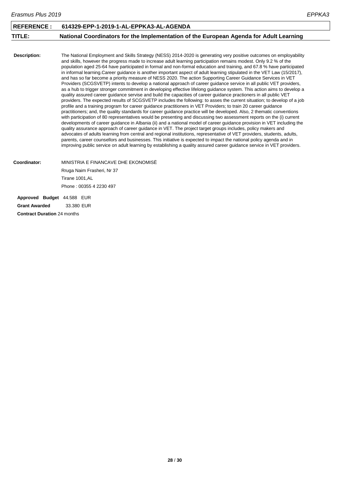<span id="page-28-0"></span>

| Erasmus Plus 2019                                                                                                                                                                                                                                                                                                                                                                                                                                                                                                                                                                                                                                                                                                                                                                                                                                                                                                                                                                                                                                                                                                                                                                                                                                                                                                                                                                                                                                                                                                                                                                                  |                                                                                                                                                                                                                                                                                                                                                                                                                                                                                                   |
|----------------------------------------------------------------------------------------------------------------------------------------------------------------------------------------------------------------------------------------------------------------------------------------------------------------------------------------------------------------------------------------------------------------------------------------------------------------------------------------------------------------------------------------------------------------------------------------------------------------------------------------------------------------------------------------------------------------------------------------------------------------------------------------------------------------------------------------------------------------------------------------------------------------------------------------------------------------------------------------------------------------------------------------------------------------------------------------------------------------------------------------------------------------------------------------------------------------------------------------------------------------------------------------------------------------------------------------------------------------------------------------------------------------------------------------------------------------------------------------------------------------------------------------------------------------------------------------------------|---------------------------------------------------------------------------------------------------------------------------------------------------------------------------------------------------------------------------------------------------------------------------------------------------------------------------------------------------------------------------------------------------------------------------------------------------------------------------------------------------|
| 614329-EPP-1-2019-1-AL-EPPKA3-AL-AGENDA                                                                                                                                                                                                                                                                                                                                                                                                                                                                                                                                                                                                                                                                                                                                                                                                                                                                                                                                                                                                                                                                                                                                                                                                                                                                                                                                                                                                                                                                                                                                                            |                                                                                                                                                                                                                                                                                                                                                                                                                                                                                                   |
| National Coordinators for the Implementation of the European Agenda for Adult Learning                                                                                                                                                                                                                                                                                                                                                                                                                                                                                                                                                                                                                                                                                                                                                                                                                                                                                                                                                                                                                                                                                                                                                                                                                                                                                                                                                                                                                                                                                                             |                                                                                                                                                                                                                                                                                                                                                                                                                                                                                                   |
| and skills, however the progress made to increase adult learning participation remains modest. Only 9.2 % of the<br>in informal learning. Career guidance is another important aspect of adult learning stipulated in the VET Law (15/2017),<br>and has so far become a priority measure of NESS 2020. The action Supporting Career Guidance Services in VET<br>Providers (SCGSVETP) intents to develop a national approach of career guidance service in all public VET providers,<br>quality assured career guidance servise and build the capacities of career guidance practioners in all public VET<br>profile and a training program for career guidance practitioners in VET Providers; to train 20 career guidance<br>practitioners; and, the quality standards for career guidance practice will be developed. Also, 2 thematic conventions<br>with participation of 80 representatives would be presenting and discussing two assessment reports on the (i) current<br>developments of career guidance in Albania (ii) and a national model of career guidance provision in VET including the<br>quality assurance approach of career guidance in VET. The project target groups includes, policy makers and<br>advocates of adults learning from central and regional institutions, representative of VET providers, students, adults,<br>parents, career counsellors and businesses. This initiative is expected to impact the national policy agenda and in<br>improving public service on adult learning by establishing a quality assured career quidance service in VET providers. |                                                                                                                                                                                                                                                                                                                                                                                                                                                                                                   |
| MINISTRIA E FINANCAVE DHE EKONOMISË<br>Rruga Naim Frasheri, Nr 37<br>Tirane 1001.AL<br>Phone: 00355 4 2230 497                                                                                                                                                                                                                                                                                                                                                                                                                                                                                                                                                                                                                                                                                                                                                                                                                                                                                                                                                                                                                                                                                                                                                                                                                                                                                                                                                                                                                                                                                     |                                                                                                                                                                                                                                                                                                                                                                                                                                                                                                   |
|                                                                                                                                                                                                                                                                                                                                                                                                                                                                                                                                                                                                                                                                                                                                                                                                                                                                                                                                                                                                                                                                                                                                                                                                                                                                                                                                                                                                                                                                                                                                                                                                    | The National Employment and Skills Strategy (NESS) 2014-2020 is generating very positive outcomes on employability<br>population aged 25-64 have participated in formal and non-formal education and training, and 67.8 % have participated<br>as a hub to trigger stronger commitment in developing effective lifelong guidance system. This action aims to develop a<br>providers. The expected results of SCGSVETP includes the following: to asses the current situation; to develop of a job |

**Approved Budget** 44.588 EUR **Grant Awarded** 33.380 EUR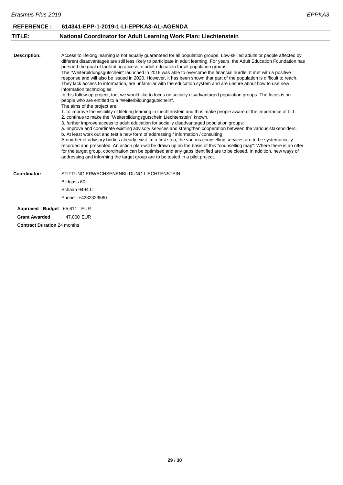<span id="page-29-0"></span>

| <b>REFERENCE:</b>                  | 614341-EPP-1-2019-1-LI-EPPKA3-AL-AGENDA                                                                                                                                                                                                                                                                                                                                                                                                                                                                                                                                                                                                                                                                                                                                                                                                                                                                                                                                                                                                                                                                                                                                                                                                                                                                                                                                                                                                                                                                                                                                                                                                                                                                                                                                                                                                                                                                                                         |
|------------------------------------|-------------------------------------------------------------------------------------------------------------------------------------------------------------------------------------------------------------------------------------------------------------------------------------------------------------------------------------------------------------------------------------------------------------------------------------------------------------------------------------------------------------------------------------------------------------------------------------------------------------------------------------------------------------------------------------------------------------------------------------------------------------------------------------------------------------------------------------------------------------------------------------------------------------------------------------------------------------------------------------------------------------------------------------------------------------------------------------------------------------------------------------------------------------------------------------------------------------------------------------------------------------------------------------------------------------------------------------------------------------------------------------------------------------------------------------------------------------------------------------------------------------------------------------------------------------------------------------------------------------------------------------------------------------------------------------------------------------------------------------------------------------------------------------------------------------------------------------------------------------------------------------------------------------------------------------------------|
| TITLE:                             | National Coordinator for Adult Learning Work Plan: Liechtenstein                                                                                                                                                                                                                                                                                                                                                                                                                                                                                                                                                                                                                                                                                                                                                                                                                                                                                                                                                                                                                                                                                                                                                                                                                                                                                                                                                                                                                                                                                                                                                                                                                                                                                                                                                                                                                                                                                |
|                                    |                                                                                                                                                                                                                                                                                                                                                                                                                                                                                                                                                                                                                                                                                                                                                                                                                                                                                                                                                                                                                                                                                                                                                                                                                                                                                                                                                                                                                                                                                                                                                                                                                                                                                                                                                                                                                                                                                                                                                 |
| <b>Description:</b>                | Access to lifelong learning is not equally guaranteed for all population groups. Low-skilled adults or people affected by<br>different disadvantages are still less likely to participate in adult learning. For years, the Adult Education Foundation has<br>pursued the goal of facilitating access to adult education for all population groups.<br>The "Weiterbildungsgutschein" launched in 2019 was able to overcome the financial hurdle. It met with a positive<br>response and will also be issued in 2020. However, it has been shown that part of the population is difficult to reach.<br>They lack access to information, are unfamiliar with the education system and are unsure about how to use new<br>information technologies.<br>In this follow-up project, too, we would like to focus on socially disadvantaged population groups. The focus is on<br>people who are entitled to a "Weiterbildungsgutschein".<br>The aims of the project are:<br>1. to improve the visibility of lifelong learning in Liechtenstein and thus make people aware of the importance of LLL.<br>2. continue to make the "Weiterbildungsgutschein Liechtenstein" known.<br>3. further improve access to adult education for socially disadvantaged population groups:<br>a. Improve and coordinate existing advisory services and strengthen cooperation between the various stakeholders.<br>b. At least work out and test a new form of addressing / information / consulting<br>A number of advisory bodies already exist. In a first step, the various counselling services are to be systematically<br>recorded and presented. An action plan will be drawn up on the basis of this "counselling map": Where there is an offer<br>for the target group, coordination can be optimised and any gaps identified are to be closed. In addition, new ways of<br>addressing and informing the target group are to be tested in a pilot project. |
| Coordinator:                       | STIFTUNG ERWACHSENENBILDUNG LIECHTENSTEIN                                                                                                                                                                                                                                                                                                                                                                                                                                                                                                                                                                                                                                                                                                                                                                                                                                                                                                                                                                                                                                                                                                                                                                                                                                                                                                                                                                                                                                                                                                                                                                                                                                                                                                                                                                                                                                                                                                       |
|                                    | Bildgass 60                                                                                                                                                                                                                                                                                                                                                                                                                                                                                                                                                                                                                                                                                                                                                                                                                                                                                                                                                                                                                                                                                                                                                                                                                                                                                                                                                                                                                                                                                                                                                                                                                                                                                                                                                                                                                                                                                                                                     |
|                                    | Schaan 9494,LI                                                                                                                                                                                                                                                                                                                                                                                                                                                                                                                                                                                                                                                                                                                                                                                                                                                                                                                                                                                                                                                                                                                                                                                                                                                                                                                                                                                                                                                                                                                                                                                                                                                                                                                                                                                                                                                                                                                                  |
|                                    | Phone: +4232329580                                                                                                                                                                                                                                                                                                                                                                                                                                                                                                                                                                                                                                                                                                                                                                                                                                                                                                                                                                                                                                                                                                                                                                                                                                                                                                                                                                                                                                                                                                                                                                                                                                                                                                                                                                                                                                                                                                                              |
| Approved Budget 65.611 EUR         |                                                                                                                                                                                                                                                                                                                                                                                                                                                                                                                                                                                                                                                                                                                                                                                                                                                                                                                                                                                                                                                                                                                                                                                                                                                                                                                                                                                                                                                                                                                                                                                                                                                                                                                                                                                                                                                                                                                                                 |
| <b>Grant Awarded</b>               | 47,000 EUR                                                                                                                                                                                                                                                                                                                                                                                                                                                                                                                                                                                                                                                                                                                                                                                                                                                                                                                                                                                                                                                                                                                                                                                                                                                                                                                                                                                                                                                                                                                                                                                                                                                                                                                                                                                                                                                                                                                                      |
| <b>Contract Duration 24 months</b> |                                                                                                                                                                                                                                                                                                                                                                                                                                                                                                                                                                                                                                                                                                                                                                                                                                                                                                                                                                                                                                                                                                                                                                                                                                                                                                                                                                                                                                                                                                                                                                                                                                                                                                                                                                                                                                                                                                                                                 |